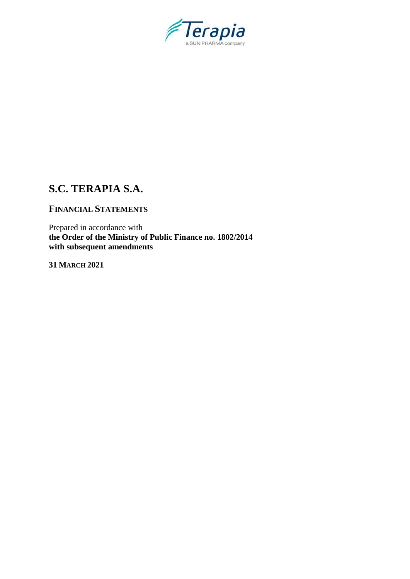

# **S.C. TERAPIA S.A.**

**FINANCIAL STATEMENTS**

Prepared in accordance with **the Order of the Ministry of Public Finance no. 1802/2014 with subsequent amendments**

**31 MARCH 2021**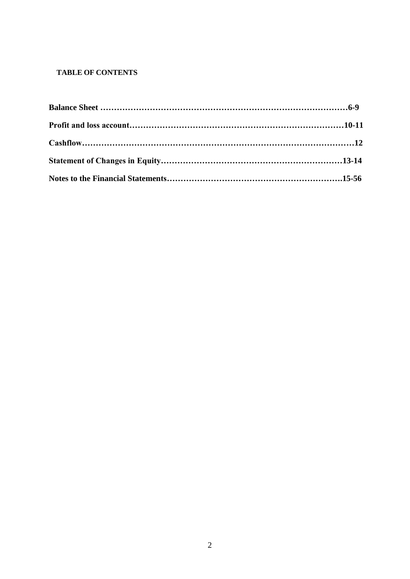# **TABLE OF CONTENTS**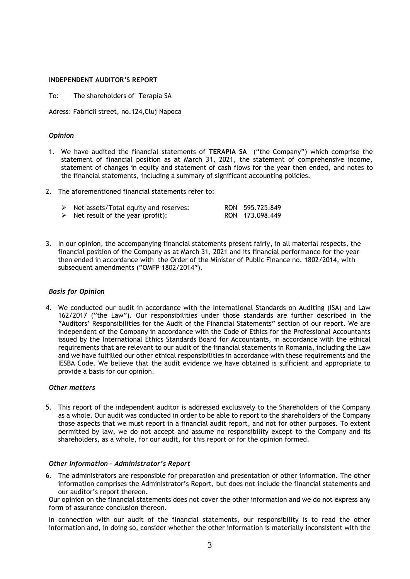#### **INDEPENDENT AUDITOR'S REPORT**

To: The shareholders of Terapia SA

Adress: Fabricii street, no.124,Cluj Napoca

#### *Opinion*

- 1. We have audited the financial statements of **TERAPIA SA** ("the Company") which comprise the statement of financial position as at March 31, 2021, the statement of comprehensive income, statement of changes in equity and statement of cash flows for the year then ended, and notes to the financial statements, including a summary of significant accounting policies.
- 2. The aforementioned financial statements refer to:

| $\triangleright$ Net assets/Total equity and reserves: | RON 595.725.849 |
|--------------------------------------------------------|-----------------|
| Net result of the year (profit):                       | RON 173.098.449 |

3. In our opinion, the accompanying financial statements present fairly, in all material respects, the financial position of the Company as at March 31, 2021 and its financial performance for the year then ended in accordance with the Order of the Minister of Public Finance no. 1802/2014, with subsequent amendments ("OMFP 1802/2014").

#### *Basis for Opinion*

4. We conducted our audit in accordance with the International Standards on Auditing (ISA) and Law 162/2017 ("the Law"). Our responsibilities under those standards are further described in the "Auditors' Responsibilities for the Audit of the Financial Statements" section of our report. We are independent of the Company in accordance with the Code of Ethics for the Professional Accountants issued by the International Ethics Standards Board for Accountants, in accordance with the ethical requirements that are relevant to our audit of the financial statements in Romania, including the Law and we have fulfilled our other ethical responsibilities in accordance with these requirements and the IESBA Code. We believe that the audit evidence we have obtained is sufficient and appropriate to provide a basis for our opinion.

#### *Other matters*

5. This report of the independent auditor is addressed exclusively to the Shareholders of the Company as a whole. Our audit was conducted in order to be able to report to the shareholders of the Company those aspects that we must report in a financial audit report, and not for other purposes. To extent permitted by law, we do not accept and assume no responsibility except to the Company and its shareholders, as a whole, for our audit, for this report or for the opinion formed.

#### *Other Information – Administrator's Report*

6. The administrators are responsible for preparation and presentation of other information. The other information comprises the Administrator's Report, but does not include the financial statements and our auditor's report thereon.

Our opinion on the financial statements does not cover the other information and we do not express any form of assurance conclusion thereon.

In connection with our audit of the financial statements, our responsibility is to read the other information and, in doing so, consider whether the other information is materially inconsistent with the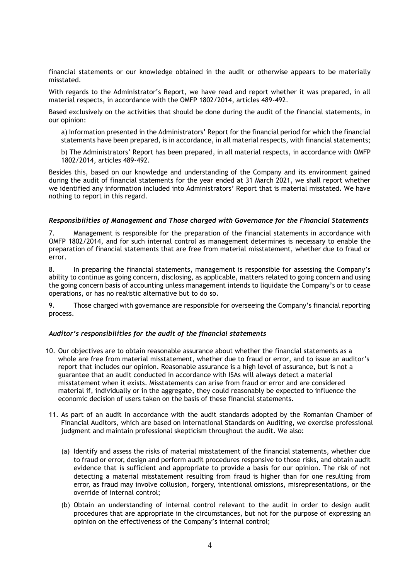financial statements or our knowledge obtained in the audit or otherwise appears to be materially misstated.

With regards to the Administrator's Report, we have read and report whether it was prepared, in all material respects, in accordance with the OMFP 1802/2014, articles 489-492.

Based exclusively on the activities that should be done during the audit of the financial statements, in our opinion:

a) Information presented in the Administrators' Report for the financial period for which the financial statements have been prepared, is in accordance, in all material respects, with financial statements;

b) The Administrators' Report has been prepared, in all material respects, in accordance with OMFP 1802/2014, articles 489-492.

Besides this, based on our knowledge and understanding of the Company and its environment gained during the audit of financial statements for the year ended at 31 March 2021, we shall report whether we identified any information included into Administrators' Report that is material misstated. We have nothing to report in this regard.

#### *Responsibilities of Management and Those charged with Governance for the Financial Statements*

7. Management is responsible for the preparation of the financial statements in accordance with OMFP 1802/2014, and for such internal control as management determines is necessary to enable the preparation of financial statements that are free from material misstatement, whether due to fraud or error.

8. In preparing the financial statements, management is responsible for assessing the Company's ability to continue as going concern, disclosing, as applicable, matters related to going concern and using the going concern basis of accounting unless management intends to liquidate the Company's or to cease operations, or has no realistic alternative but to do so.

9. Those charged with governance are responsible for overseeing the Company's financial reporting process.

#### *Auditor's responsibilities for the audit of the financial statements*

- 10. Our objectives are to obtain reasonable assurance about whether the financial statements as a whole are free from material misstatement, whether due to fraud or error, and to issue an auditor's report that includes our opinion. Reasonable assurance is a high level of assurance, but is not a guarantee that an audit conducted in accordance with ISAs will always detect a material misstatement when it exists. Misstatements can arise from fraud or error and are considered material if, individually or in the aggregate, they could reasonably be expected to influence the economic decision of users taken on the basis of these financial statements.
- 11. As part of an audit in accordance with the audit standards adopted by the Romanian Chamber of Financial Auditors, which are based on International Standards on Auditing, we exercise professional judgment and maintain professional skepticism throughout the audit. We also:
	- (a) Identify and assess the risks of material misstatement of the financial statements, whether due to fraud or error, design and perform audit procedures responsive to those risks, and obtain audit evidence that is sufficient and appropriate to provide a basis for our opinion. The risk of not detecting a material misstatement resulting from fraud is higher than for one resulting from error, as fraud may involve collusion, forgery, intentional omissions, misrepresentations, or the override of internal control;
	- (b) Obtain an understanding of internal control relevant to the audit in order to design audit procedures that are appropriate in the circumstances, but not for the purpose of expressing an opinion on the effectiveness of the Company's internal control;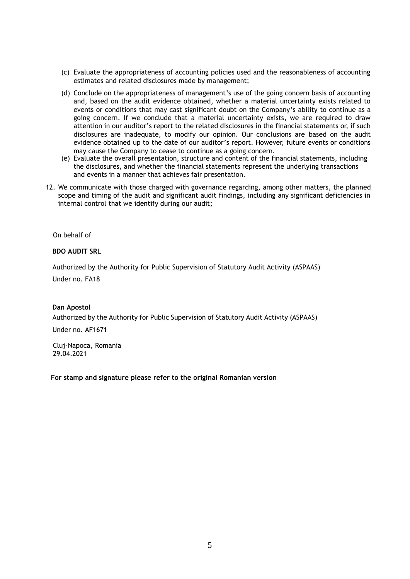- (c) Evaluate the appropriateness of accounting policies used and the reasonableness of accounting estimates and related disclosures made by management;
- (d) Conclude on the appropriateness of management's use of the going concern basis of accounting and, based on the audit evidence obtained, whether a material uncertainty exists related to events or conditions that may cast significant doubt on the Company's ability to continue as a going concern. If we conclude that a material uncertainty exists, we are required to draw attention in our auditor's report to the related disclosures in the financial statements or, if such disclosures are inadequate, to modify our opinion. Our conclusions are based on the audit evidence obtained up to the date of our auditor's report. However, future events or conditions may cause the Company to cease to continue as a going concern.
- (e) Evaluate the overall presentation, structure and content of the financial statements, including the disclosures, and whether the financial statements represent the underlying transactions and events in a manner that achieves fair presentation.
- 12. We communicate with those charged with governance regarding, among other matters, the planned scope and timing of the audit and significant audit findings, including any significant deficiencies in internal control that we identify during our audit;

On behalf of

**BDO AUDIT SRL**

Authorized by the Authority for Public Supervision of Statutory Audit Activity (ASPAAS)

Under no. FA18

#### **Dan Apostol**

Authorized by the Authority for Public Supervision of Statutory Audit Activity (ASPAAS)

Under no. AF1671

 Cluj-Napoca, Romania 29.04.2021

**For stamp and signature please refer to the original Romanian version**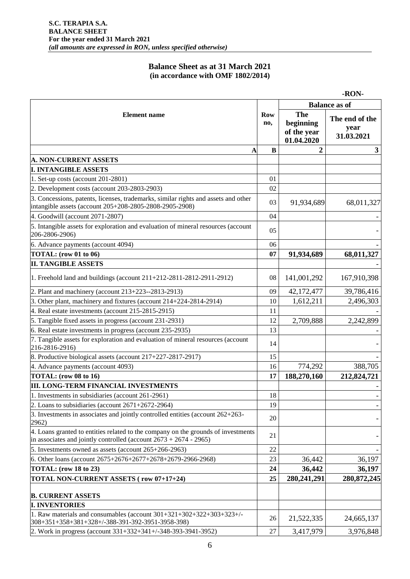# **Balance Sheet as at 31 March 2021 (in accordance with OMF 1802/2014)**

|                                                                                                                                                           |                   |                                                      | -RON-                                |  |
|-----------------------------------------------------------------------------------------------------------------------------------------------------------|-------------------|------------------------------------------------------|--------------------------------------|--|
|                                                                                                                                                           |                   | <b>Balance as of</b>                                 |                                      |  |
| <b>Element</b> name                                                                                                                                       | <b>Row</b><br>no, | <b>The</b><br>beginning<br>of the year<br>01.04.2020 | The end of the<br>year<br>31.03.2021 |  |
| A                                                                                                                                                         | B                 | 2                                                    | 3                                    |  |
| <b>A. NON-CURRENT ASSETS</b>                                                                                                                              |                   |                                                      |                                      |  |
| <b>I. INTANGIBLE ASSETS</b>                                                                                                                               |                   |                                                      |                                      |  |
| 1. Set-up costs (account 201-2801)                                                                                                                        | 01                |                                                      |                                      |  |
| 2. Development costs (account 203-2803-2903)                                                                                                              | 02                |                                                      |                                      |  |
| 3. Concessions, patents, licenses, trademarks, similar rights and assets and other<br>intangible assets (account 205+208-2805-2808-2905-2908)             | 03                | 91,934,689                                           | 68,011,327                           |  |
| 4. Goodwill (account 2071-2807)                                                                                                                           | 04                |                                                      |                                      |  |
| 5. Intangible assets for exploration and evaluation of mineral resources (account<br>206-2806-2906)                                                       | 05                |                                                      |                                      |  |
| 6. Advance payments (account 4094)                                                                                                                        | 06                |                                                      |                                      |  |
| <b>TOTAL:</b> (row 01 to 06)                                                                                                                              | 07                | 91,934,689                                           | 68,011,327                           |  |
| <b>II. TANGIBLE ASSETS</b>                                                                                                                                |                   |                                                      |                                      |  |
| 1. Freehold land and buildings (account 211+212-2811-2812-2911-2912)                                                                                      | 08                | 141,001,292                                          | 167,910,398                          |  |
| 2. Plant and machinery (account 213+223--2813-2913)                                                                                                       | 09                | 42,172,477                                           | 39,786,416                           |  |
| 3. Other plant, machinery and fixtures (account 214+224-2814-2914)                                                                                        | 10                | 1,612,211                                            | 2,496,303                            |  |
| 4. Real estate investments (account 215-2815-2915)                                                                                                        | 11                |                                                      |                                      |  |
| 5. Tangible fixed assets in progress (account 231-2931)                                                                                                   | 12                | 2,709,888                                            | 2,242,899                            |  |
| 6. Real estate investments in progress (account 235-2935)                                                                                                 | 13                |                                                      |                                      |  |
| 7. Tangible assets for exploration and evaluation of mineral resources (account<br>216-2816-2916)                                                         | 14                |                                                      |                                      |  |
| 8. Productive biological assets (account 217+227-2817-2917)                                                                                               | 15                |                                                      |                                      |  |
| 4. Advance payments (account 4093)                                                                                                                        | 16                | 774,292                                              | 388,705                              |  |
| <b>TOTAL:</b> (row 08 to 16)                                                                                                                              | 17                | 188,270,160                                          | 212,824,721                          |  |
| <b>III. LONG-TERM FINANCIAL INVESTMENTS</b>                                                                                                               |                   |                                                      |                                      |  |
| 1. Investments in subsidiaries (account 261-2961)                                                                                                         | 18                |                                                      |                                      |  |
| 2. Loans to subsidiaries (account $2671+2672-2964$ )                                                                                                      | 19                |                                                      |                                      |  |
| 3. Investments in associates and jointly controlled entities (account 262+263-<br>2962)                                                                   | 20                |                                                      |                                      |  |
| 4. Loans granted to entities related to the company on the grounds of investments<br>in associates and jointly controlled (account $2673 + 2674 - 2965$ ) | 21                |                                                      |                                      |  |
| 5. Investments owned as assets (account $265+266-2963$ )                                                                                                  | 22                |                                                      |                                      |  |
| 6. Other loans (account $2675+2676+2677+2678+2679-2966-2968$ )                                                                                            | 23                | 36,442                                               | 36,197                               |  |
| <b>TOTAL:</b> (row 18 to 23)                                                                                                                              | 24                | 36,442                                               | 36,197                               |  |
| TOTAL NON-CURRENT ASSETS (row 07+17+24)                                                                                                                   | 25                | 280,241,291                                          | 280, 872, 245                        |  |
| <b>B. CURRENT ASSETS</b>                                                                                                                                  |                   |                                                      |                                      |  |
| <b>I. INVENTORIES</b>                                                                                                                                     |                   |                                                      |                                      |  |
| 1. Raw materials and consumables (account $301+321+302+322+303+323+/-$<br>308+351+358+381+328+/-388-391-392-3951-3958-398)                                | 26                | 21,522,335                                           | 24,665,137                           |  |
| 2. Work in progress (account 331+332+341+/-348-393-3941-3952)                                                                                             | 27                | 3,417,979                                            | 3,976,848                            |  |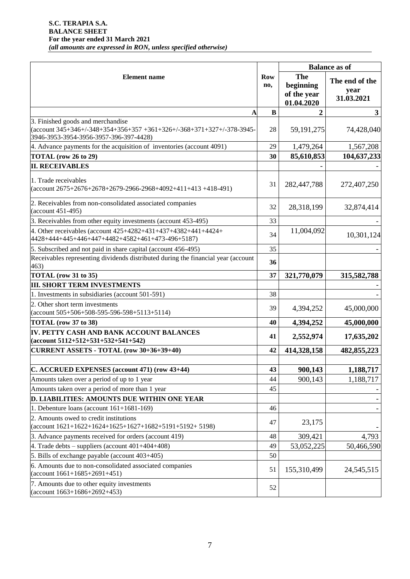|                                                                                                                                                      |                   | <b>Balance as of</b>                                 |                                      |  |
|------------------------------------------------------------------------------------------------------------------------------------------------------|-------------------|------------------------------------------------------|--------------------------------------|--|
| <b>Element</b> name                                                                                                                                  | <b>Row</b><br>no, | <b>The</b><br>beginning<br>of the year<br>01.04.2020 | The end of the<br>year<br>31.03.2021 |  |
| A                                                                                                                                                    | B                 | 2                                                    | $\mathbf{3}$                         |  |
| 3. Finished goods and merchandise<br>(account 345+346+/-348+354+356+357 +361+326+/-368+371+327+/-378-3945-<br>3946-3953-3954-3956-3957-396-397-4428) | 28                | 59, 191, 275                                         | 74,428,040                           |  |
| 4. Advance payments for the acquisition of inventories (account 4091)                                                                                | 29                | 1,479,264                                            | 1,567,208                            |  |
| TOTAL (row 26 to 29)                                                                                                                                 | 30                | 85,610,853                                           | 104,637,233                          |  |
| <b>II. RECEIVABLES</b>                                                                                                                               |                   |                                                      |                                      |  |
| 1. Trade receivables<br>$(\text{account } 2675 + 2676 + 2678 + 2679 - 2966 - 2968 + 4092 + 411 + 413 + 418 - 491)$                                   | 31                | 282,447,788                                          | 272,407,250                          |  |
| 2. Receivables from non-consolidated associated companies<br>(account 451-495)                                                                       | 32                | 28,318,199                                           | 32,874,414                           |  |
| 3. Receivables from other equity investments (account 453-495)                                                                                       | 33                |                                                      |                                      |  |
| 4. Other receivables (account 425+4282+431+437+4382+441+4424+<br>4428+444+445+446+447+4482+4582+461+473-496+5187)                                    | 34                | 11,004,092                                           | 10,301,124                           |  |
| 5. Subscribed and not paid in share capital (account 456-495)                                                                                        | 35                |                                                      |                                      |  |
| Receivables representing dividends distributed during the financial year (account<br>463)                                                            | 36                |                                                      |                                      |  |
| TOTAL (row 31 to 35)                                                                                                                                 | 37                | 321,770,079                                          | 315,582,788                          |  |
| <b>III. SHORT TERM INVESTMENTS</b>                                                                                                                   |                   |                                                      |                                      |  |
| 1. Investments in subsidiaries (account 501-591)                                                                                                     | 38                |                                                      |                                      |  |
| 2. Other short term investments<br>$(\text{account } 505 + 506 + 508 - 595 - 596 - 598 + 5113 + 5114)$                                               | 39                | 4,394,252                                            | 45,000,000                           |  |
| <b>TOTAL</b> (row 37 to 38)                                                                                                                          | 40                | 4,394,252                                            | 45,000,000                           |  |
| IV. PETTY CASH AND BANK ACCOUNT BALANCES<br>$(\text{account } 5112 + 512 + 531 + 532 + 541 + 542)$                                                   | 41                | 2,552,974                                            | 17,635,202                           |  |
| CURRENT ASSETS - TOTAL (row 30+36+39+40)                                                                                                             | 42                | 414,328,158                                          | 482, 855, 223                        |  |
|                                                                                                                                                      |                   |                                                      |                                      |  |
| C. ACCRUED EXPENSES (account 471) (row 43+44)                                                                                                        | 43                | 900,143                                              | 1,188,717                            |  |
| Amounts taken over a period of up to 1 year                                                                                                          | 44                | 900,143                                              | 1,188,717                            |  |
| Amounts taken over a period of more than 1 year                                                                                                      | 45                |                                                      |                                      |  |
| D. LIABILITIES: AMOUNTS DUE WITHIN ONE YEAR                                                                                                          |                   |                                                      |                                      |  |
| 1. Debenture loans (account $161+1681-169$ )                                                                                                         | 46                |                                                      |                                      |  |
| 2. Amounts owed to credit institutions<br>(account $1621+1622+1624+1625+1627+1682+5191+5192+5198$ )                                                  | 47                | 23,175                                               |                                      |  |
| 3. Advance payments received for orders (account 419)                                                                                                | 48                | 309,421                                              | 4,793                                |  |
| 4. Trade debts – suppliers (account $401+404+408$ )                                                                                                  | 49                | 53,052,225                                           | 50,466,590                           |  |
| 5. Bills of exchange payable (account $403+405$ )                                                                                                    | 50                |                                                      |                                      |  |
| 6. Amounts due to non-consolidated associated companies<br>$(\text{account } 1661 + 1685 + 2691 + 451)$                                              | 51                | 155,310,499                                          | 24, 545, 515                         |  |
| 7. Amounts due to other equity investments<br>$(\text{account } 1663 + 1686 + 2692 + 453)$                                                           | 52                |                                                      |                                      |  |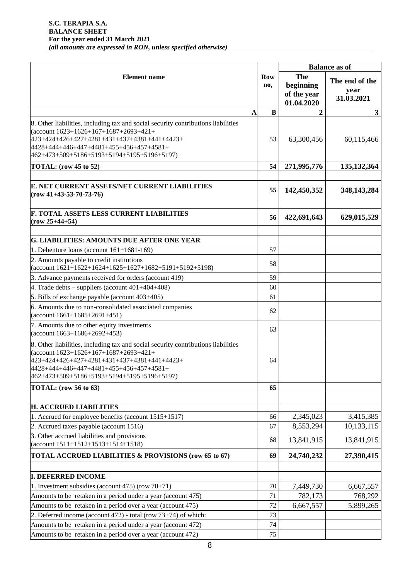|                                                                                                                                                                                                                                                                      |                   | <b>Balance as of</b>                          |                                      |  |
|----------------------------------------------------------------------------------------------------------------------------------------------------------------------------------------------------------------------------------------------------------------------|-------------------|-----------------------------------------------|--------------------------------------|--|
| <b>Element</b> name                                                                                                                                                                                                                                                  | <b>Row</b><br>no, | The<br>beginning<br>of the year<br>01.04.2020 | The end of the<br>year<br>31.03.2021 |  |
| A                                                                                                                                                                                                                                                                    | B                 | 2                                             | 3                                    |  |
| 8. Other liabilities, including tax and social security contributions liabilities<br>(account $1623+1626+167+1687+2693+421+$<br>423+424+426+427+4281+431+437+4381+441+4423+<br>4428+444+446+447+4481+455+456+457+4581+<br>462+473+509+5186+5193+5194+5195+5196+5197) | 53                | 63,300,456                                    | 60,115,466                           |  |
| <b>TOTAL:</b> (row 45 to 52)                                                                                                                                                                                                                                         | 54                | 271,995,776                                   | 135, 132, 364                        |  |
| E. NET CURRENT ASSETS/NET CURRENT LIABILITIES<br>$(row 41+43-53-70-73-76)$                                                                                                                                                                                           | 55                | 142,450,352                                   | 348, 143, 284                        |  |
| <b>F. TOTAL ASSETS LESS CURRENT LIABILITIES</b><br>$(row 25+44+54)$                                                                                                                                                                                                  | 56                | 422,691,643                                   | 629,015,529                          |  |
|                                                                                                                                                                                                                                                                      |                   |                                               |                                      |  |
| <b>G. LIABILITIES: AMOUNTS DUE AFTER ONE YEAR</b>                                                                                                                                                                                                                    | 57                |                                               |                                      |  |
| 1. Debenture loans (account $161+1681-169$ )<br>2. Amounts payable to credit institutions<br>$(\text{account } 1621 + 1622 + 1624 + 1625 + 1627 + 1682 + 5191 + 5192 + 5198)$                                                                                        | 58                |                                               |                                      |  |
| 3. Advance payments received for orders (account 419)                                                                                                                                                                                                                | 59                |                                               |                                      |  |
| 4. Trade debts – suppliers (account $401+404+408$ )                                                                                                                                                                                                                  | 60                |                                               |                                      |  |
| 5. Bills of exchange payable (account 403+405)                                                                                                                                                                                                                       | 61                |                                               |                                      |  |
| 6. Amounts due to non-consolidated associated companies<br>$(\text{account } 1661 + 1685 + 2691 + 451)$                                                                                                                                                              | 62                |                                               |                                      |  |
| 7. Amounts due to other equity investments<br>(account $1663+1686+2692+453$ )                                                                                                                                                                                        | 63                |                                               |                                      |  |
| 8. Other liabilities, including tax and social security contributions liabilities<br>(account $1623+1626+167+1687+2693+421+$<br>423+424+426+427+4281+431+437+4381+441+4423+<br>4428+444+446+447+4481+455+456+457+4581+<br>462+473+509+5186+5193+5194+5195+5196+5197) | 64                |                                               |                                      |  |
| <b>TOTAL:</b> (row 56 to 63)                                                                                                                                                                                                                                         | 65                |                                               |                                      |  |
|                                                                                                                                                                                                                                                                      |                   |                                               |                                      |  |
| <b>H. ACCRUED LIABILITIES</b>                                                                                                                                                                                                                                        |                   |                                               |                                      |  |
| 1. Accrued for employee benefits (account 1515+1517)                                                                                                                                                                                                                 | 66                | 2,345,023                                     | 3,415,385                            |  |
| 2. Accrued taxes payable (account 1516)                                                                                                                                                                                                                              | 67                | 8,553,294                                     | 10,133,115                           |  |
| 3. Other accrued liabilities and provisions<br>$(\text{account } 1511 + 1512 + 1513 + 1514 + 1518)$                                                                                                                                                                  | 68                | 13,841,915                                    | 13,841,915                           |  |
| TOTAL ACCRUED LIABILITIES & PROVISIONS (row 65 to 67)                                                                                                                                                                                                                | 69                | 24,740,232                                    | 27,390,415                           |  |
| <b>I. DEFERRED INCOME</b>                                                                                                                                                                                                                                            |                   |                                               |                                      |  |
| 1. Investment subsidies (account 475) (row $70+71$ )                                                                                                                                                                                                                 | 70                | 7,449,730                                     | 6,667,557                            |  |
| Amounts to be retaken in a period under a year (account 475)                                                                                                                                                                                                         | 71                | 782,173                                       | 768,292                              |  |
| Amounts to be retaken in a period over a year (account 475)                                                                                                                                                                                                          | 72                | 6,667,557                                     | 5,899,265                            |  |
| 2. Deferred income (account 472) - total (row 73+74) of which:                                                                                                                                                                                                       | 73                |                                               |                                      |  |
| Amounts to be retaken in a period under a year (account 472)                                                                                                                                                                                                         | 74                |                                               |                                      |  |
| Amounts to be retaken in a period over a year (account 472)                                                                                                                                                                                                          | 75                |                                               |                                      |  |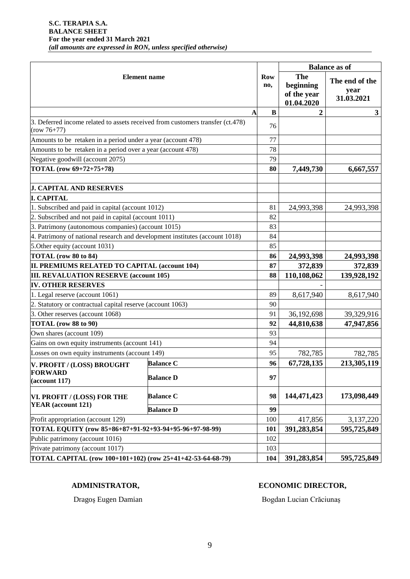|                                                                                                 |                                                            |                                               |                                      | <b>Balance as of</b> |                         |  |
|-------------------------------------------------------------------------------------------------|------------------------------------------------------------|-----------------------------------------------|--------------------------------------|----------------------|-------------------------|--|
| <b>Element</b> name                                                                             | <b>Row</b><br>no,                                          | The<br>beginning<br>of the year<br>01.04.2020 | The end of the<br>year<br>31.03.2021 |                      |                         |  |
|                                                                                                 |                                                            | A                                             | B                                    | $\overline{2}$       | $\overline{\mathbf{3}}$ |  |
| 3. Deferred income related to assets received from customers transfer (ct.478)<br>$(row 76+77)$ |                                                            |                                               | 76                                   |                      |                         |  |
| Amounts to be retaken in a period under a year (account 478)                                    |                                                            |                                               | 77                                   |                      |                         |  |
| Amounts to be retaken in a period over a year (account 478)                                     |                                                            |                                               | 78                                   |                      |                         |  |
| Negative goodwill (account 2075)                                                                |                                                            |                                               | 79                                   |                      |                         |  |
| TOTAL (row 69+72+75+78)                                                                         |                                                            |                                               | 80                                   | 7,449,730            | 6,667,557               |  |
| <b>J. CAPITAL AND RESERVES</b>                                                                  |                                                            |                                               |                                      |                      |                         |  |
| <b>I. CAPITAL</b>                                                                               |                                                            |                                               |                                      |                      |                         |  |
| 1. Subscribed and paid in capital (account 1012)                                                |                                                            |                                               | 81                                   | 24,993,398           | 24,993,398              |  |
| 2. Subscribed and not paid in capital (account 1011)                                            |                                                            |                                               | 82                                   |                      |                         |  |
| 3. Patrimony (autonomous companies) (account 1015)                                              |                                                            |                                               | 83                                   |                      |                         |  |
| 4. Patrimony of national research and development institutes (account 1018)                     |                                                            |                                               | 84                                   |                      |                         |  |
| 5. Other equity (account 1031)                                                                  |                                                            |                                               | 85                                   |                      |                         |  |
| TOTAL (row 80 to 84)                                                                            |                                                            |                                               | 86                                   | 24,993,398           | 24,993,398              |  |
| II. PREMIUMS RELATED TO CAPITAL (account 104)                                                   |                                                            |                                               | 87                                   | 372,839              | 372,839                 |  |
| <b>III. REVALUATION RESERVE (account 105)</b>                                                   |                                                            |                                               | 88                                   | 110,108,062          | 139,928,192             |  |
| <b>IV. OTHER RESERVES</b>                                                                       |                                                            |                                               |                                      |                      |                         |  |
| 1. Legal reserve (account 1061)                                                                 |                                                            |                                               | 89                                   | 8,617,940            | 8,617,940               |  |
| 2. Statutory or contractual capital reserve (account 1063)                                      |                                                            |                                               | 90                                   |                      |                         |  |
| 3. Other reserves (account 1068)                                                                |                                                            |                                               | 91                                   | 36,192,698           | 39,329,916              |  |
| TOTAL (row 88 to 90)                                                                            |                                                            |                                               | 92                                   | 44,810,638           | 47,947,856              |  |
| Own shares (account 109)                                                                        |                                                            |                                               | 93                                   |                      |                         |  |
| Gains on own equity instruments (account 141)                                                   |                                                            |                                               | 94                                   |                      |                         |  |
| Losses on own equity instruments (account 149)                                                  |                                                            |                                               | 95                                   | 782,785              | 782,785                 |  |
| V. PROFIT / (LOSS) BROUGHT                                                                      | <b>Balance C</b>                                           |                                               | 96                                   | 67,728,135           | 213,305,119             |  |
| FORWARD<br>$(\text{account } 117)$                                                              | <b>Balance D</b>                                           |                                               |                                      |                      |                         |  |
| VI. PROFIT / (LOSS) FOR THE                                                                     | <b>Balance C</b>                                           |                                               | 98                                   | 144,471,423          | 173,098,449             |  |
| YEAR (account 121)                                                                              | <b>Balance D</b>                                           |                                               | 99                                   |                      |                         |  |
| Profit appropriation (account 129)                                                              |                                                            |                                               | 100                                  | 417,856              | 3,137,220               |  |
| TOTAL EQUITY (row 85+86+87+91-92+93-94+95-96+97-98-99)                                          |                                                            |                                               | 101                                  | 391,283,854          | 595,725,849             |  |
| Public patrimony (account 1016)                                                                 |                                                            |                                               | 102                                  |                      |                         |  |
| Private patrimony (account 1017)                                                                |                                                            |                                               | 103                                  |                      |                         |  |
|                                                                                                 | TOTAL CAPITAL (row 100+101+102) (row 25+41+42-53-64-68-79) |                                               |                                      |                      |                         |  |

# **ADMINISTRATOR, ECONOMIC DIRECTOR,**

Dragoș Eugen Damian Bogdan Lucian Crăciunaș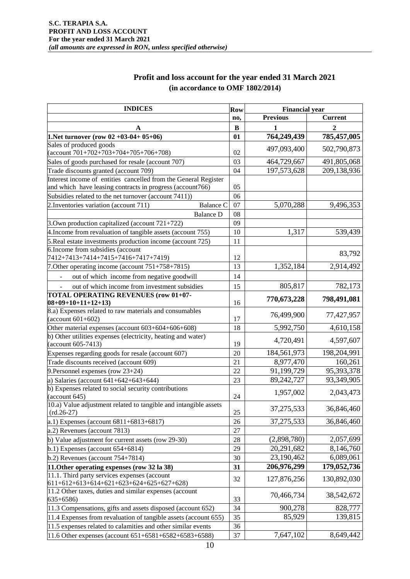| <b>INDICES</b>                                                                            |          | Row<br><b>Financial year</b> |                |  |
|-------------------------------------------------------------------------------------------|----------|------------------------------|----------------|--|
|                                                                                           | no,      | <b>Previous</b>              | <b>Current</b> |  |
| A                                                                                         | B        | 1                            | $\mathbf{2}$   |  |
| 1. Net turnover (row $02 + 03 - 04 + 05 + 06$ )                                           | 01       | 764,249,439                  | 785,457,005    |  |
| Sales of produced goods                                                                   |          |                              |                |  |
| (account $701+702+703+704+705+706+708$ )                                                  | 02       | 497,093,400                  | 502,790,873    |  |
| Sales of goods purchased for resale (account 707)                                         | 03       | 464,729,667                  | 491,805,068    |  |
| Trade discounts granted (account 709)                                                     | 04       | 197,573,628                  | 209,138,936    |  |
| Interest income of entities cancelled from the General Register                           |          |                              |                |  |
| and which have leasing contracts in progress (account766)                                 | 05       |                              |                |  |
| Subsidies related to the net turnover (account 7411))                                     | 06       |                              |                |  |
| 2. Inventories variation (account 711)<br>Balance C                                       | 07       | 5,070,288                    | 9,496,353      |  |
| <b>Balance D</b>                                                                          | 08       |                              |                |  |
| 3. Own production capitalized (account 721+722)                                           | 09       |                              |                |  |
| 4. Income from revaluation of tangible assets (account 755)                               | 10       | 1,317                        | 539,439        |  |
| 5. Real estate investments production income (account 725)                                | 11       |                              |                |  |
| 6. Income from subsidies (account                                                         |          |                              |                |  |
| 7412+7413+7414+7415+7416+7417+7419)                                                       | 12       |                              | 83,792         |  |
| 7. Other operating income (account 751+758+7815)                                          | 13       | 1,352,184                    | 2,914,492      |  |
| out of which income from negative goodwill<br>$\bar{\phantom{a}}$                         | 14       |                              |                |  |
| out of which income from investment subsidies                                             | 15       | 805,817                      | 782,173        |  |
| TOTAL OPERATING REVENUES (row 01+07-                                                      |          |                              |                |  |
| $08+09+10+11+12+13$                                                                       | 16       | 770,673,228                  | 798,491,081    |  |
| 8.a) Expenses related to raw materials and consumables                                    |          |                              |                |  |
| (account $601+602$ )                                                                      | 17       | 76,499,900                   | 77,427,957     |  |
| Other material expenses (account 603+604+606+608)                                         | 18       | 5,992,750                    | 4,610,158      |  |
| b) Other utilities expenses (electricity, heating and water)                              |          | 4,720,491                    | 4,597,607      |  |
| (account 605-7413)                                                                        | 19       |                              |                |  |
| Expenses regarding goods for resale (account 607)                                         | 20       | 184,561,973                  | 198,204,991    |  |
| Trade discounts received (account 609)                                                    | 21       | 8,977,470                    | 160,261        |  |
| 9. Personnel expenses (row 23+24)                                                         | 22       | 91,199,729                   | 95,393,378     |  |
| a) Salaries (account 641+642+643+644)                                                     | 23       | 89,242,727                   | 93,349,905     |  |
| b) Expenses related to social security contributions                                      |          | 1,957,002                    | 2,043,473      |  |
| $(\text{account } 645)$                                                                   | 24       |                              |                |  |
| 10.a) Value adjustment related to tangible and intangible assets<br>$(rd.26-27)$          | 25       | 37, 275, 533                 | 36,846,460     |  |
| a.1) Expenses (account 6811+6813+6817)                                                    | 26       | 37, 275, 533                 | 36,846,460     |  |
| a.2) Revenues (account 7813)                                                              | 27       |                              |                |  |
| b) Value adjustment for current assets (row 29-30)                                        | 28       | (2,898,780)                  | 2,057,699      |  |
|                                                                                           |          |                              |                |  |
| $b.1$ ) Expenses (account $654+6814$ )                                                    | 29<br>30 | 20,291,682                   | 8,146,760      |  |
| $b.2$ ) Revenues (account $754+7814$ )                                                    |          | 23,190,462                   | 6,089,061      |  |
| 11. Other operating expenses (row 32 la 38)                                               |          | 206,976,299                  | 179,052,736    |  |
| 11.1. Third party services expenses (account<br>$611+612+613+614+621+623+624+625+627+628$ | 32       | 127,876,256                  | 130,892,030    |  |
| 11.2 Other taxes, duties and similar expenses (account                                    |          |                              |                |  |
| $635+6586$                                                                                | 33       | 70,466,734                   | 38,542,672     |  |
| 11.3 Compensations, gifts and assets disposed (account 652)                               | 34       | 900,278                      | 828,777        |  |
| 11.4 Expenses from revaluation of tangible assets (account 655)                           | 35       | 85,929                       | 139,815        |  |
| 11.5 expenses related to calamities and other similar events                              | 36       |                              |                |  |
| 11.6 Other expenses (account 651+6581+6582+6583+6588)                                     | 37       | 7,647,102                    | 8,649,442      |  |

# **Profit and loss account for the year ended 31 March 2021 (in accordance to OMF 1802/2014)**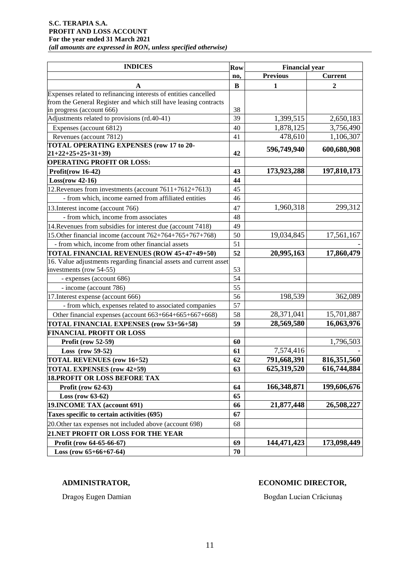#### **S.C. TERAPIA S.A. PROFIT AND LOSS ACCOUNT For the year ended 31 March 2021** *(all amounts are expressed in RON, unless specified otherwise)*

| <b>INDICES</b>                                                     | <b>Row</b> | <b>Financial year</b> |                |  |
|--------------------------------------------------------------------|------------|-----------------------|----------------|--|
|                                                                    | no,        | <b>Previous</b>       | <b>Current</b> |  |
| $\mathbf A$                                                        | B          | 1                     | $\overline{2}$ |  |
| Expenses related to refinancing interests of entities cancelled    |            |                       |                |  |
| from the General Register and which still have leasing contracts   |            |                       |                |  |
| in progress (account 666)                                          | 38         |                       |                |  |
| Adjustments related to provisions (rd.40-41)                       | 39         | 1,399,515             | 2,650,183      |  |
| Expenses (account 6812)                                            | 40         | 1,878,125             | 3,756,490      |  |
| Revenues (account 7812)                                            | 41         | 478,610               | 1,106,307      |  |
| TOTAL OPERATING EXPENSES (row 17 to 20-                            |            | 596,749,940           | 600,680,908    |  |
| $21+22+25+25+31+39$                                                | 42         |                       |                |  |
| <b>OPERATING PROFIT OR LOSS:</b>                                   |            |                       |                |  |
| Profit(row 16-42)                                                  | 43         | 173,923,288           | 197,810,173    |  |
| $Loss(row 42-16)$                                                  | 44         |                       |                |  |
| 12. Revenues from investments (account 7611+7612+7613)             | 45         |                       |                |  |
| - from which, income earned from affiliated entities               | 46         |                       |                |  |
| 13. Interest income (account 766)                                  | 47         | 1,960,318             | 299,312        |  |
| - from which, income from associates                               | 48         |                       |                |  |
| 14. Revenues from subsidies for interest due (account 7418)        | 49         |                       |                |  |
| 15. Other financial income (account $762+764+765+767+768$ )        | 50         | 19,034,845            | 17,561,167     |  |
| - from which, income from other financial assets                   | 51         |                       |                |  |
| TOTAL FINANCIAL REVENUES (ROW 45+47+49+50)                         | 52         | 20,995,163            | 17,860,479     |  |
| 16. Value adjustments regarding financial assets and current asset |            |                       |                |  |
| investments (row 54-55)                                            | 53         |                       |                |  |
| - expenses (account 686)                                           | 54         |                       |                |  |
| - income (account 786)                                             | 55         |                       |                |  |
| 17. Interest expense (account 666)                                 | 56         | 198,539               | 362,089        |  |
| - from which, expenses related to associated companies             | 57         |                       |                |  |
| Other financial expenses (account 663+664+665+667+668)             | 58         | 28,371,041            | 15,701,887     |  |
| TOTAL FINANCIAL EXPENSES (row 53+56+58)                            | 59         | 28,569,580            | 16,063,976     |  |
| <b>FINANCIAL PROFIT OR LOSS</b>                                    |            |                       |                |  |
| <b>Profit (row 52-59)</b>                                          | 60         |                       | 1,796,503      |  |
| Loss (row $59-52$ )                                                | 61         | 7,574,416             |                |  |
| TOTAL REVENUES (row 16+52)                                         | 62         | 791,668,391           | 816,351,560    |  |
| TOTAL EXPENSES (row 42+59)                                         | 63         | 625,319,520           | 616,744,884    |  |
| <b>18. PROFIT OR LOSS BEFORE TAX</b>                               |            |                       |                |  |
| Profit (row 62-63)                                                 | 64         | 166,348,871           | 199,606,676    |  |
| Loss (row 63-62)                                                   | 65         |                       |                |  |
| 19. INCOME TAX (account 691)                                       | 66         | 21,877,448            | 26,508,227     |  |
| Taxes specific to certain activities (695)                         | 67         |                       |                |  |
| 20. Other tax expenses not included above (account 698)            | 68         |                       |                |  |
| <b>21.NET PROFIT OR LOSS FOR THE YEAR</b>                          |            |                       |                |  |
| Profit (row 64-65-66-67)                                           | 69         | 144,471,423           | 173,098,449    |  |
| Loss (row $65+66+67-64$ )                                          | 70         |                       |                |  |

# **ADMINISTRATOR, ECONOMIC DIRECTOR,**

Dragoș Eugen Damian Bogdan Lucian Crăciunaș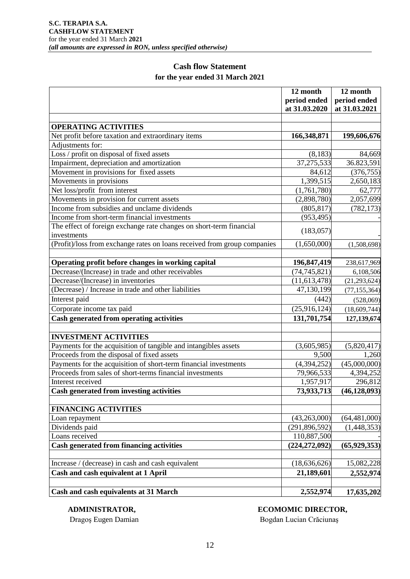#### **S.C. TERAPIA S.A. CASHFLOW STATEMENT**  for the year ended 31 March **2021** *(all amounts are expressed in RON, unless specified otherwise)*

# **Cash flow Statement**

| for the year ended 31 March 2021 |  |  |  |
|----------------------------------|--|--|--|
|----------------------------------|--|--|--|

|                                                                          | 12 month<br>period ended | 12 month<br>period ended |  |
|--------------------------------------------------------------------------|--------------------------|--------------------------|--|
|                                                                          | at 31.03.2020            | at 31.03.2021            |  |
| <b>OPERATING ACTIVITIES</b>                                              |                          |                          |  |
| Net profit before taxation and extraordinary items                       | 166,348,871              | 199,606,676              |  |
| Adjustments for:                                                         |                          |                          |  |
| Loss / profit on disposal of fixed assets                                | (8, 183)                 | 84,669                   |  |
| Impairment, depreciation and amortization                                | 37,275,533               | 36.823,591               |  |
| Movement in provisions for fixed assets                                  | 84,612                   | (376, 755)               |  |
| Movements in provisions                                                  | 1,399,515                | 2,650,183                |  |
| Net loss/profit from interest                                            | (1,761,780)              | 62,777                   |  |
| Movements in provision for current assets                                | (2,898,780)              | 2,057,699                |  |
| Income from subsidies and unclame dividends                              | (805, 817)               | (782, 173)               |  |
| Income from short-term financial investments                             | (953, 495)               |                          |  |
| The effect of foreign exchange rate changes on short-term financial      |                          |                          |  |
| investments                                                              | (183, 057)               |                          |  |
| (Profit)/loss from exchange rates on loans received from group companies | (1,650,000)              | (1,508,698)              |  |
|                                                                          |                          |                          |  |
| Operating profit before changes in working capital                       | 196,847,419              | 238,617,969              |  |
| Decrease/(Increase) in trade and other receivables                       | (74, 745, 821)           | 6,108,506                |  |
| Decrease/(Increase) in inventories                                       | (11, 613, 478)           | (21, 293, 624)           |  |
| (Decrease) / Increase in trade and other liabilities                     | 47,130,199               | (77, 155, 364)           |  |
| Interest paid                                                            | (442)                    | (528,069)                |  |
| Corporate income tax paid                                                | (25,916,124)             | (18,609,744)             |  |
| <b>Cash generated from operating activities</b>                          | 131,701,754              | 127,139,674              |  |
| <b>INVESTMENT ACTIVITIES</b>                                             |                          |                          |  |
| Payments for the acquisition of tangible and intangibles assets          | (3,605,985)              | (5,820,417)              |  |
| Proceeds from the disposal of fixed assets                               | 9,500                    | 1,260                    |  |
| Payments for the acquisition of short-term financial investments         | (4, 394, 252)            | (45,000,000)             |  |
| Proceeds from sales of short-terms financial investments                 | 79,966,533               | 4,394,252                |  |
| Interest received                                                        | 1,957,917                | 296,812                  |  |
| <b>Cash generated from investing activities</b>                          | 73,933,713               | (46, 128, 093)           |  |
| <b>FINANCING ACTIVITIES</b>                                              |                          |                          |  |
| Loan repayment                                                           | (43,263,000)             | (64, 481, 000)           |  |
| Dividends paid                                                           | (291, 896, 592)          | (1,448,353)              |  |
| Loans received                                                           | 110,887,500              |                          |  |
| <b>Cash generated from financing activities</b>                          | (224, 272, 092)          | (65, 929, 353)           |  |
|                                                                          |                          |                          |  |
| Increase / (decrease) in cash and cash equivalent                        | (18, 636, 626)           | 15,082,228               |  |
| Cash and cash equivalent at 1 April                                      | 21,189,601               | 2,552,974                |  |
| Cash and cash equivalents at 31 March                                    | 2,552,974                | 17,635,202               |  |

 **ADMINISTRATOR, ECOMOMIC DIRECTOR,**

Dragoș Eugen Damian Bogdan Lucian Crăciunaș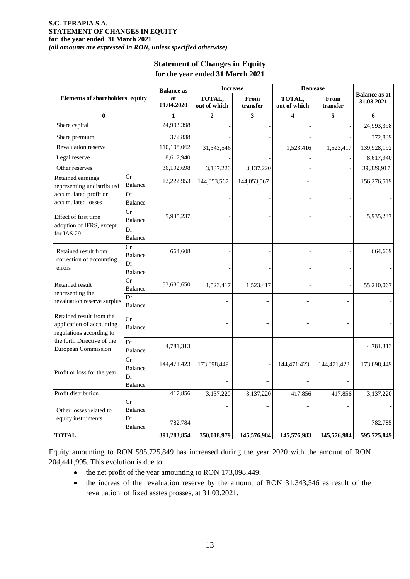#### **S.C. TERAPIA S.A. STATEMENT OF CHANGES IN EQUITY for the year ended 31 March 2021** *(all amounts are expressed in RON, unless specified otherwise)*

# **Statement of Changes in Equity for the year ended 31 March 2021**

| Elements of shareholders' equity                                                  |                      | <b>Balance as</b> | <b>Increase</b>        |                  | <b>Decrease</b>        |                  |                                    |
|-----------------------------------------------------------------------------------|----------------------|-------------------|------------------------|------------------|------------------------|------------------|------------------------------------|
|                                                                                   |                      | at<br>01.04.2020  | TOTAL,<br>out of which | From<br>transfer | TOTAL,<br>out of which | From<br>transfer | <b>Balance as at</b><br>31.03.2021 |
| 0                                                                                 |                      | 1                 | $\overline{2}$         | 3                | 4                      | 5                | 6                                  |
| Share capital                                                                     |                      | 24,993,398        |                        |                  |                        |                  | 24,993,398                         |
| Share premium                                                                     |                      | 372,838           |                        |                  |                        |                  | 372,839                            |
| Revaluation reserve                                                               |                      | 110,108,062       | 31,343,546             |                  | 1,523,416              | 1,523,417        | 139,928,192                        |
| Legal reserve                                                                     |                      | 8,617,940         |                        |                  |                        |                  | 8,617,940                          |
| Other reserves                                                                    |                      | 36,192,698        | 3,137,220              | 3,137,220        |                        |                  | 39,329,917                         |
| Retained earnings<br>representing undistributed                                   | Cr<br><b>Balance</b> | 12,222,953        | 144,053,567            | 144,053,567      | $\overline{a}$         |                  | 156,276,519                        |
| accumulated profit or<br>accumulated losses                                       | Dr<br>Balance        |                   |                        |                  |                        |                  |                                    |
| Effect of first time<br>adoption of IFRS, except<br>for IAS 29                    | Cr<br><b>Balance</b> | 5,935,237         |                        |                  |                        |                  | 5,935,237                          |
|                                                                                   | Dr<br>Balance        |                   |                        |                  |                        |                  |                                    |
| Retained result from<br>correction of accounting                                  | Cr<br>Balance        | 664,608           |                        |                  |                        |                  | 664,609                            |
| errors                                                                            | Dr<br><b>Balance</b> |                   |                        |                  |                        |                  |                                    |
| Retained result<br>representing the                                               | Cr<br><b>Balance</b> | 53,686,650        | 1,523,417              | 1,523,417        |                        |                  | 55,210,067                         |
| revaluation reserve surplus                                                       | Dr<br><b>Balance</b> |                   |                        |                  |                        |                  |                                    |
| Retained result from the<br>application of accounting<br>regulations according to | Cr<br><b>Balance</b> |                   |                        |                  |                        |                  |                                    |
| the forth Directive of the<br>European Commission                                 | Dr<br>Balance        | 4,781,313         |                        |                  |                        |                  | 4,781,313                          |
| Profit or loss for the year                                                       | Cr<br><b>Balance</b> | 144,471,423       | 173,098,449            |                  | 144,471,423            | 144,471,423      | 173,098,449                        |
|                                                                                   | Dr<br>Balance        |                   |                        |                  |                        |                  |                                    |
| Profit distribution                                                               |                      | 417,856           | 3,137,220              | 3,137,220        | 417,856                | 417,856          | 3,137,220                          |
| Other losses related to                                                           | Cr<br>Balance        |                   | $\overline{a}$         |                  |                        |                  |                                    |
| equity instruments                                                                | Dr<br>Balance        | 782,784           |                        |                  |                        |                  | 782,785                            |
| <b>TOTAL</b>                                                                      |                      | 391,283,854       | 350,018,979            | 145,576,984      | 145,576,983            | 145,576,984      | 595,725,849                        |

Equity amounting to RON 595,725,849 has increased during the year 2020 with the amount of RON 204,441,995. This evolution is due to:

- the net profit of the year amounting to RON 173,098,449;
- the increas of the revaluation reserve by the amount of RON 31,343,546 as result of the revaluation of fixed asstes prosses, at 31.03.2021.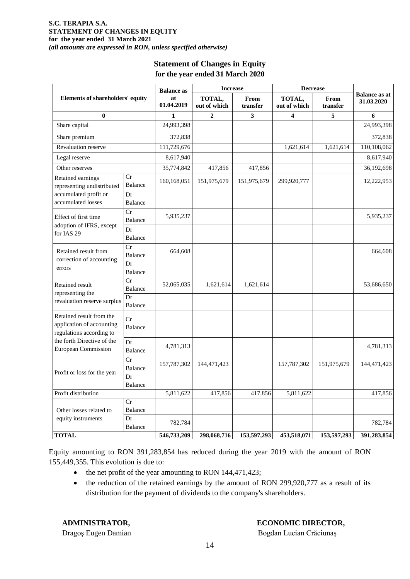#### **S.C. TERAPIA S.A. STATEMENT OF CHANGES IN EQUITY for the year ended 31 March 2021** *(all amounts are expressed in RON, unless specified otherwise)*

# **Statement of Changes in Equity for the year ended 31 March 2020**

| <b>Elements of shareholders' equity</b>                                           |                                          | <b>Balance as</b> | <b>Increase</b>        |                  | <b>Decrease</b>        |                  |                                    |
|-----------------------------------------------------------------------------------|------------------------------------------|-------------------|------------------------|------------------|------------------------|------------------|------------------------------------|
|                                                                                   |                                          | at<br>01.04.2019  | TOTAL,<br>out of which | From<br>transfer | TOTAL,<br>out of which | From<br>transfer | <b>Balance as at</b><br>31.03.2020 |
| $\bf{0}$                                                                          |                                          | 1                 | $\overline{2}$         | 3                | 4                      | 5                | 6                                  |
| Share capital                                                                     |                                          | 24,993,398        |                        |                  |                        |                  | 24,993,398                         |
| Share premium                                                                     |                                          | 372,838           |                        |                  |                        |                  | 372,838                            |
| Revaluation reserve                                                               |                                          | 111,729,676       |                        |                  | 1,621,614              | 1,621,614        | 110,108,062                        |
| Legal reserve                                                                     |                                          | 8,617,940         |                        |                  |                        |                  | 8,617,940                          |
| Other reserves                                                                    |                                          | 35,774,842        | 417,856                | 417,856          |                        |                  | 36,192,698                         |
| Retained earnings<br>representing undistributed                                   | $\overline{\text{Cr}}$<br><b>Balance</b> | 160,168,051       | 151,975,679            | 151,975,679      | 299,920,777            |                  | 12,222,953                         |
| accumulated profit or<br>accumulated losses                                       | Dr<br><b>Balance</b>                     |                   |                        |                  |                        |                  |                                    |
| Effect of first time<br>adoption of IFRS, except<br>for IAS 29                    | Cr<br><b>Balance</b>                     | 5,935,237         |                        |                  |                        |                  | 5,935,237                          |
|                                                                                   | Dr<br>Balance                            |                   |                        |                  |                        |                  |                                    |
| Retained result from<br>correction of accounting                                  | Cr<br><b>Balance</b>                     | 664,608           |                        |                  |                        |                  | 664,608                            |
| errors                                                                            | Dr<br><b>Balance</b>                     |                   |                        |                  |                        |                  |                                    |
| Retained result<br>representing the                                               | Cr<br><b>Balance</b>                     | 52,065,035        | 1,621,614              | 1,621,614        |                        |                  | 53,686,650                         |
| revaluation reserve surplus                                                       | Dr<br><b>Balance</b>                     |                   |                        |                  |                        |                  |                                    |
| Retained result from the<br>application of accounting<br>regulations according to | Cr<br><b>Balance</b>                     |                   |                        |                  |                        |                  |                                    |
| the forth Directive of the<br>European Commission                                 | Dr<br><b>Balance</b>                     | 4,781,313         |                        |                  |                        |                  | 4,781,313                          |
| Profit or loss for the year                                                       | Cr<br><b>Balance</b>                     | 157,787,302       | 144,471,423            |                  | 157,787,302            | 151,975,679      | 144,471,423                        |
|                                                                                   | Dr<br><b>Balance</b>                     |                   |                        |                  |                        |                  |                                    |
| Profit distribution                                                               |                                          | 5,811,622         | 417,856                | 417,856          | 5,811,622              |                  | 417,856                            |
| Other losses related to                                                           | Cr<br><b>Balance</b>                     |                   |                        |                  |                        |                  |                                    |
| equity instruments                                                                | Dr<br><b>Balance</b>                     | 782,784           |                        |                  |                        |                  | 782,784                            |
| <b>TOTAL</b>                                                                      |                                          | 546,733,209       | 298,068,716            | 153,597,293      | 453,518,071            | 153,597,293      | 391,283,854                        |

Equity amounting to RON 391,283,854 has reduced during the year 2019 with the amount of RON 155,449,355. This evolution is due to:

- the net profit of the year amounting to RON 144,471,423;
- the reduction of the retained earnings by the amount of RON 299,920,777 as a result of its distribution for the payment of dividends to the company's shareholders.

#### **ADMINISTRATOR, ECONOMIC DIRECTOR,**

Dragoș Eugen Damian Bogdan Lucian Crăciunaș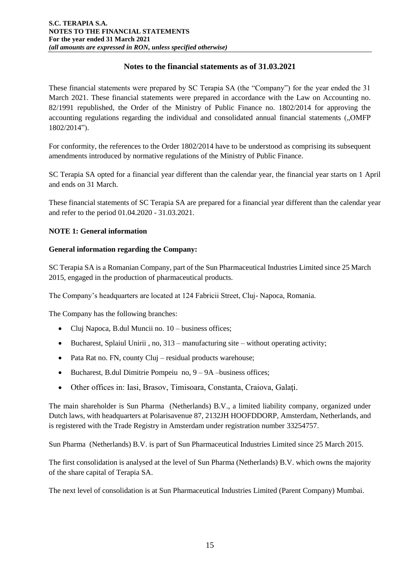# **Notes to the financial statements as of 31.03.2021**

These financial statements were prepared by SC Terapia SA (the "Company") for the year ended the 31 March 2021. These financial statements were prepared in accordance with the Law on Accounting no. 82/1991 republished, the Order of the Ministry of Public Finance no. 1802/2014 for approving the accounting regulations regarding the individual and consolidated annual financial statements ("OMFP 1802/2014").

For conformity, the references to the Order 1802/2014 have to be understood as comprising its subsequent amendments introduced by normative regulations of the Ministry of Public Finance.

SC Terapia SA opted for a financial year different than the calendar year, the financial year starts on 1 April and ends on 31 March.

These financial statements of SC Terapia SA are prepared for a financial year different than the calendar year and refer to the period 01.04.2020 - 31.03.2021.

# **NOTE 1: General information**

# **General information regarding the Company:**

SC Terapia SA is a Romanian Company, part of the Sun Pharmaceutical Industries Limited since 25 March 2015, engaged in the production of pharmaceutical products.

The Company's headquarters are located at 124 Fabricii Street, Cluj- Napoca, Romania.

The Company has the following branches:

- Cluj Napoca, B.dul Muncii no.  $10 \text{business offices}$ ;
- $\bullet$  Bucharest, Splaiul Unirii, no, 313 manufacturing site without operating activity;
- Pata Rat no. FN, county Cluj residual products warehouse;
- $\bullet$  Bucharest, B.dul Dimitrie Pompeiu no,  $9 9A$  –business offices;
- Other offices in: Iasi, Brasov, Timisoara, Constanta, Craiova, Galaţi.

The main shareholder is Sun Pharma (Netherlands) B.V., a limited liability company, organized under Dutch laws, with headquarters at Polarisavenue 87, 2132JH HOOFDDORP, Amsterdam, Netherlands, and is registered with the Trade Registry in Amsterdam under registration number 33254757.

Sun Pharma (Netherlands) B.V. is part of Sun Pharmaceutical Industries Limited since 25 March 2015.

The first consolidation is analysed at the level of Sun Pharma (Netherlands) B.V. which owns the majority of the share capital of Terapia SA.

The next level of consolidation is at Sun Pharmaceutical Industries Limited (Parent Company) Mumbai.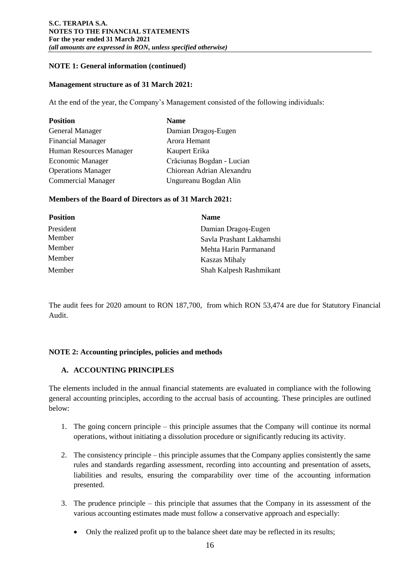#### **NOTE 1: General information (continued)**

#### **Management structure as of 31 March 2021:**

At the end of the year, the Company's Management consisted of the following individuals:

| <b>Position</b>           | <b>Name</b>               |
|---------------------------|---------------------------|
| General Manager           | Damian Dragos-Eugen       |
| <b>Financial Manager</b>  | Arora Hemant              |
| Human Resources Manager   | Kaupert Erika             |
| <b>Economic Manager</b>   | Crăciunaș Bogdan - Lucian |
| <b>Operations Manager</b> | Chiorean Adrian Alexandru |
| <b>Commercial Manager</b> | Ungureanu Bogdan Alin     |

# **Members of the Board of Directors as of 31 March 2021:**

| <b>Position</b> | <b>Name</b>              |
|-----------------|--------------------------|
| President       | Damian Dragos-Eugen      |
| Member          | Savla Prashant Lakhamshi |
| Member          | Mehta Harin Parmanand    |
| Member          | <b>Kaszas Mihaly</b>     |
| <b>Member</b>   | Shah Kalpesh Rashmikant  |

The audit fees for 2020 amount to RON 187,700, from which RON 53,474 are due for Statutory Financial Audit.

# **NOTE 2: Accounting principles, policies and methods**

# **A. ACCOUNTING PRINCIPLES**

The elements included in the annual financial statements are evaluated in compliance with the following general accounting principles, according to the accrual basis of accounting. These principles are outlined below:

- 1. The going concern principle this principle assumes that the Company will continue its normal operations, without initiating a dissolution procedure or significantly reducing its activity.
- 2. The consistency principle this principle assumes that the Company applies consistently the same rules and standards regarding assessment, recording into accounting and presentation of assets, liabilities and results, ensuring the comparability over time of the accounting information presented.
- 3. The prudence principle this principle that assumes that the Company in its assessment of the various accounting estimates made must follow a conservative approach and especially:
	- Only the realized profit up to the balance sheet date may be reflected in its results;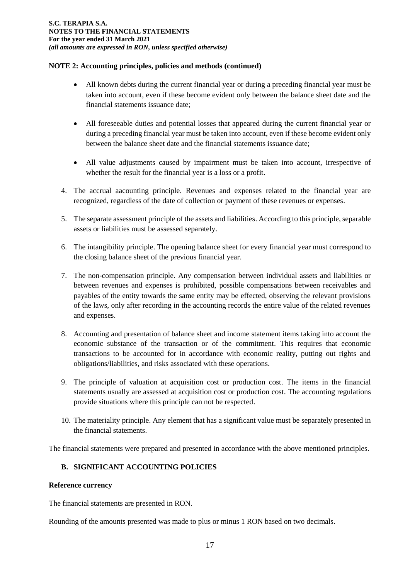- All known debts during the current financial year or during a preceding financial year must be taken into account, even if these become evident only between the balance sheet date and the financial statements issuance date;
- All foreseeable duties and potential losses that appeared during the current financial year or during a preceding financial year must be taken into account, even if these become evident only between the balance sheet date and the financial statements issuance date;
- All value adjustments caused by impairment must be taken into account, irrespective of whether the result for the financial year is a loss or a profit.
- 4. The accrual aacounting principle. Revenues and expenses related to the financial year are recognized, regardless of the date of collection or payment of these revenues or expenses.
- 5. The separate assessment principle of the assets and liabilities. According to this principle, separable assets or liabilities must be assessed separately.
- 6. The intangibility principle. The opening balance sheet for every financial year must correspond to the closing balance sheet of the previous financial year.
- 7. The non-compensation principle. Any compensation between individual assets and liabilities or between revenues and expenses is prohibited, possible compensations between receivables and payables of the entity towards the same entity may be effected, observing the relevant provisions of the laws, only after recording in the accounting records the entire value of the related revenues and expenses.
- 8. Accounting and presentation of balance sheet and income statement items taking into account the economic substance of the transaction or of the commitment. This requires that economic transactions to be accounted for in accordance with economic reality, putting out rights and obligations/liabilities, and risks associated with these operations.
- 9. The principle of valuation at acquisition cost or production cost. The items in the financial statements usually are assessed at acquisition cost or production cost. The accounting regulations provide situations where this principle can not be respected.
- 10. The materiality principle. Any element that has a significant value must be separately presented in the financial statements.

The financial statements were prepared and presented in accordance with the above mentioned principles.

# **B. SIGNIFICANT ACCOUNTING POLICIES**

### **Reference currency**

The financial statements are presented in RON.

Rounding of the amounts presented was made to plus or minus 1 RON based on two decimals.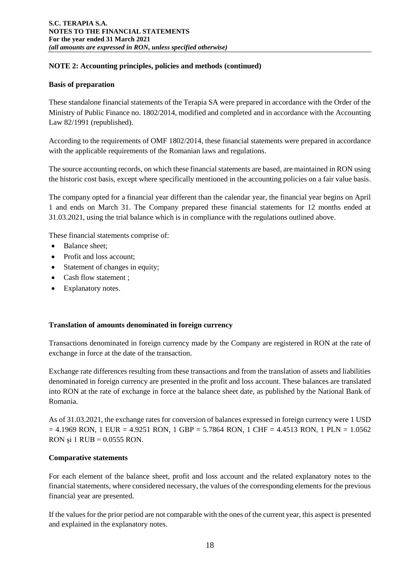### **Basis of preparation**

These standalone financial statements of the Terapia SA were prepared in accordance with the Order of the Ministry of Public Finance no. 1802/2014, modified and completed and in accordance with the Accounting Law 82/1991 (republished).

According to the requirements of OMF 1802/2014, these financial statements were prepared in accordance with the applicable requirements of the Romanian laws and regulations.

The source accounting records, on which these financial statements are based, are maintained in RON using the historic cost basis, except where specifically mentioned in the accounting policies on a fair value basis.

The company opted for a financial year different than the calendar year, the financial year begins on April 1 and ends on March 31. The Company prepared these financial statements for 12 months ended at 31.03.2021, using the trial balance which is in compliance with the regulations outlined above.

These financial statements comprise of:

- Balance sheet:
- Profit and loss account;
- Statement of changes in equity;
- Cash flow statement ;
- Explanatory notes.

# **Translation of amounts denominated in foreign currency**

Transactions denominated in foreign currency made by the Company are registered in RON at the rate of exchange in force at the date of the transaction.

Exchange rate differences resulting from these transactions and from the translation of assets and liabilities denominated in foreign currency are presented in the profit and loss account. These balances are translated into RON at the rate of exchange in force at the balance sheet date, as published by the National Bank of Romania.

As of 31.03.2021, the exchange rates for conversion of balances expressed in foreign currency were 1 USD  $= 4.1969$  RON, 1 EUR = 4.9251 RON, 1 GBP = 5.7864 RON, 1 CHF = 4.4513 RON, 1 PLN = 1.0562 RON şi 1 RUB = 0.0555 RON.

# **Comparative statements**

For each element of the balance sheet, profit and loss account and the related explanatory notes to the financial statements, where considered necessary, the values of the corresponding elements for the previous financial year are presented.

If the values for the prior period are not comparable with the ones of the current year, this aspect is presented and explained in the explanatory notes.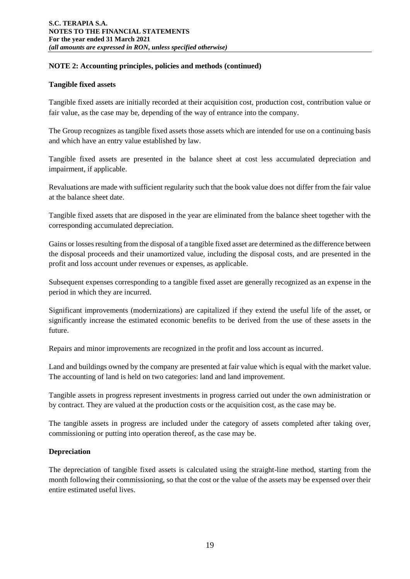#### **Tangible fixed assets**

Tangible fixed assets are initially recorded at their acquisition cost, production cost, contribution value or fair value, as the case may be, depending of the way of entrance into the company.

The Group recognizes as tangible fixed assets those assets which are intended for use on a continuing basis and which have an entry value established by law.

Tangible fixed assets are presented in the balance sheet at cost less accumulated depreciation and impairment, if applicable.

Revaluations are made with sufficient regularity such that the book value does not differ from the fair value at the balance sheet date.

Tangible fixed assets that are disposed in the year are eliminated from the balance sheet together with the corresponding accumulated depreciation.

Gains or losses resulting from the disposal of a tangible fixed asset are determined as the difference between the disposal proceeds and their unamortized value, including the disposal costs, and are presented in the profit and loss account under revenues or expenses, as applicable.

Subsequent expenses corresponding to a tangible fixed asset are generally recognized as an expense in the period in which they are incurred.

Significant improvements (modernizations) are capitalized if they extend the useful life of the asset, or significantly increase the estimated economic benefits to be derived from the use of these assets in the future.

Repairs and minor improvements are recognized in the profit and loss account as incurred.

Land and buildings owned by the company are presented at fair value which is equal with the market value. The accounting of land is held on two categories: land and land improvement.

Tangible assets in progress represent investments in progress carried out under the own administration or by contract. They are valued at the production costs or the acquisition cost, as the case may be.

The tangible assets in progress are included under the category of assets completed after taking over, commissioning or putting into operation thereof, as the case may be.

# **Depreciation**

The depreciation of tangible fixed assets is calculated using the straight-line method, starting from the month following their commissioning, so that the cost or the value of the assets may be expensed over their entire estimated useful lives.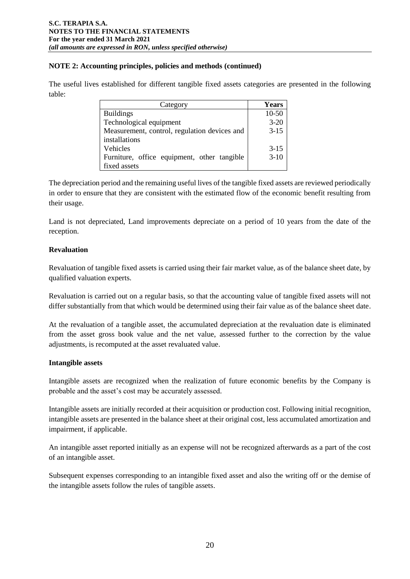The useful lives established for different tangible fixed assets categories are presented in the following table:

| Category                                     | <b>Years</b> |
|----------------------------------------------|--------------|
| <b>Buildings</b>                             | $10-50$      |
| Technological equipment                      | $3 - 20$     |
| Measurement, control, regulation devices and | $3 - 15$     |
| installations                                |              |
| Vehicles                                     | $3 - 15$     |
| Furniture, office equipment, other tangible  | $3-10$       |
| fixed assets                                 |              |

The depreciation period and the remaining useful lives of the tangible fixed assets are reviewed periodically in order to ensure that they are consistent with the estimated flow of the economic benefit resulting from their usage.

Land is not depreciated, Land improvements depreciate on a period of 10 years from the date of the reception.

#### **Revaluation**

Revaluation of tangible fixed assets is carried using their fair market value, as of the balance sheet date, by qualified valuation experts.

Revaluation is carried out on a regular basis, so that the accounting value of tangible fixed assets will not differ substantially from that which would be determined using their fair value as of the balance sheet date.

At the revaluation of a tangible asset, the accumulated depreciation at the revaluation date is eliminated from the asset gross book value and the net value, assessed further to the correction by the value adjustments, is recomputed at the asset revaluated value.

#### **Intangible assets**

Intangible assets are recognized when the realization of future economic benefits by the Company is probable and the asset's cost may be accurately assessed.

Intangible assets are initially recorded at their acquisition or production cost. Following initial recognition, intangible assets are presented in the balance sheet at their original cost, less accumulated amortization and impairment, if applicable.

An intangible asset reported initially as an expense will not be recognized afterwards as a part of the cost of an intangible asset.

Subsequent expenses corresponding to an intangible fixed asset and also the writing off or the demise of the intangible assets follow the rules of tangible assets.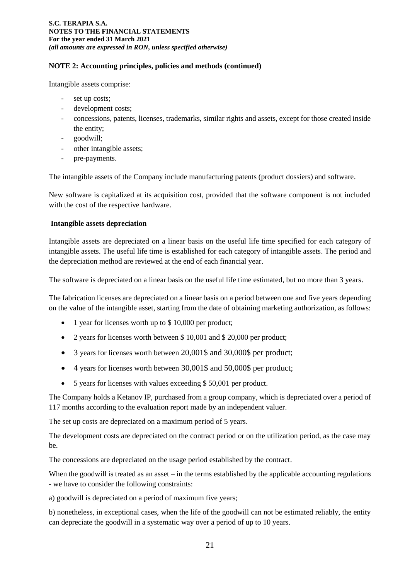Intangible assets comprise:

- set up costs;
- development costs;
- concessions, patents, licenses, trademarks, similar rights and assets, except for those created inside the entity;
- goodwill;
- other intangible assets;
- pre-payments.

The intangible assets of the Company include manufacturing patents (product dossiers) and software.

New software is capitalized at its acquisition cost, provided that the software component is not included with the cost of the respective hardware.

#### **Intangible assets depreciation**

Intangible assets are depreciated on a linear basis on the useful life time specified for each category of intangible assets. The useful life time is established for each category of intangible assets. The period and the depreciation method are reviewed at the end of each financial year.

The software is depreciated on a linear basis on the useful life time estimated, but no more than 3 years.

The fabrication licenses are depreciated on a linear basis on a period between one and five years depending on the value of the intangible asset, starting from the date of obtaining marketing authorization, as follows:

- 1 year for licenses worth up to \$10,000 per product;
- 2 years for licenses worth between \$ 10,001 and \$ 20,000 per product;
- 3 years for licenses worth between 20,001\$ and 30,000\$ per product;
- 4 years for licenses worth between 30,001\$ and 50,000\$ per product;
- 5 years for licenses with values exceeding \$ 50,001 per product.

The Company holds a Ketanov IP, purchased from a group company, which is depreciated over a period of 117 months according to the evaluation report made by an independent valuer.

The set up costs are depreciated on a maximum period of 5 years.

The development costs are depreciated on the contract period or on the utilization period, as the case may be.

The concessions are depreciated on the usage period established by the contract.

When the goodwill is treated as an asset – in the terms established by the applicable accounting regulations - we have to consider the following constraints:

a) goodwill is depreciated on a period of maximum five years;

b) nonetheless, in exceptional cases, when the life of the goodwill can not be estimated reliably, the entity can depreciate the goodwill in a systematic way over a period of up to 10 years.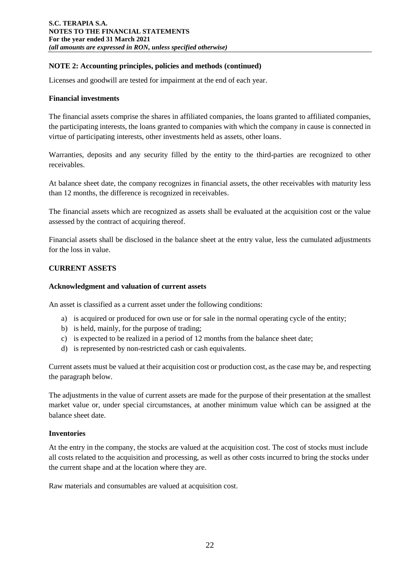Licenses and goodwill are tested for impairment at the end of each year.

#### **Financial investments**

The financial assets comprise the shares in affiliated companies, the loans granted to affiliated companies, the participating interests, the loans granted to companies with which the company in cause is connected in virtue of participating interests, other investments held as assets, other loans.

Warranties, deposits and any security filled by the entity to the third-parties are recognized to other receivables.

At balance sheet date, the company recognizes in financial assets, the other receivables with maturity less than 12 months, the difference is recognized in receivables.

The financial assets which are recognized as assets shall be evaluated at the acquisition cost or the value assessed by the contract of acquiring thereof.

Financial assets shall be disclosed in the balance sheet at the entry value, less the cumulated adjustments for the loss in value.

#### **CURRENT ASSETS**

#### **Acknowledgment and valuation of current assets**

An asset is classified as a current asset under the following conditions:

- a) is acquired or produced for own use or for sale in the normal operating cycle of the entity;
- b) is held, mainly, for the purpose of trading;
- c) is expected to be realized in a period of 12 months from the balance sheet date;
- d) is represented by non-restricted cash or cash equivalents.

Current assets must be valued at their acquisition cost or production cost, as the case may be, and respecting the paragraph below.

The adjustments in the value of current assets are made for the purpose of their presentation at the smallest market value or, under special circumstances, at another minimum value which can be assigned at the balance sheet date.

#### **Inventories**

At the entry in the company, the stocks are valued at the acquisition cost. The cost of stocks must include all costs related to the acquisition and processing, as well as other costs incurred to bring the stocks under the current shape and at the location where they are.

Raw materials and consumables are valued at acquisition cost.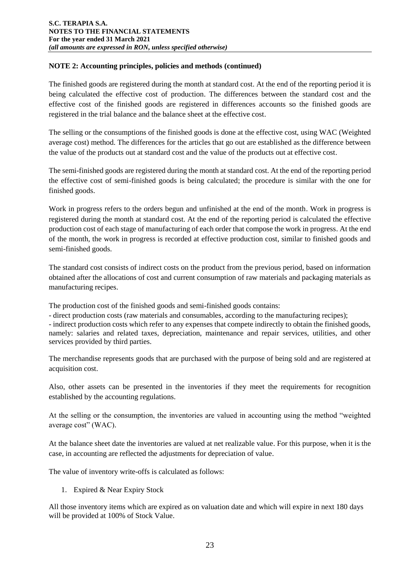The finished goods are registered during the month at standard cost. At the end of the reporting period it is being calculated the effective cost of production. The differences between the standard cost and the effective cost of the finished goods are registered in differences accounts so the finished goods are registered in the trial balance and the balance sheet at the effective cost.

The selling or the consumptions of the finished goods is done at the effective cost, using WAC (Weighted average cost) method. The differences for the articles that go out are established as the difference between the value of the products out at standard cost and the value of the products out at effective cost.

The semi-finished goods are registered during the month at standard cost. At the end of the reporting period the effective cost of semi-finished goods is being calculated; the procedure is similar with the one for finished goods.

Work in progress refers to the orders begun and unfinished at the end of the month. Work in progress is registered during the month at standard cost. At the end of the reporting period is calculated the effective production cost of each stage of manufacturing of each order that compose the work in progress. At the end of the month, the work in progress is recorded at effective production cost, similar to finished goods and semi-finished goods.

The standard cost consists of indirect costs on the product from the previous period, based on information obtained after the allocations of cost and current consumption of raw materials and packaging materials as manufacturing recipes.

The production cost of the finished goods and semi-finished goods contains:

- direct production costs (raw materials and consumables, according to the manufacturing recipes);

- indirect production costs which refer to any expenses that compete indirectly to obtain the finished goods, namely: salaries and related taxes, depreciation, maintenance and repair services, utilities, and other services provided by third parties.

The merchandise represents goods that are purchased with the purpose of being sold and are registered at acquisition cost.

Also, other assets can be presented in the inventories if they meet the requirements for recognition established by the accounting regulations.

At the selling or the consumption, the inventories are valued in accounting using the method "weighted average cost" (WAC).

At the balance sheet date the inventories are valued at net realizable value. For this purpose, when it is the case, in accounting are reflected the adjustments for depreciation of value.

The value of inventory write-offs is calculated as follows:

1. Expired & Near Expiry Stock

All those inventory items which are expired as on valuation date and which will expire in next 180 days will be provided at 100% of Stock Value.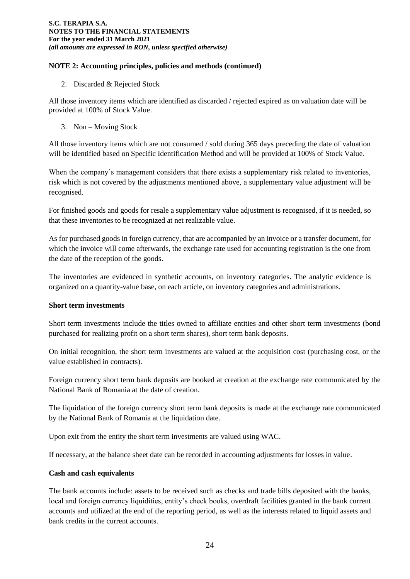2. Discarded & Rejected Stock

All those inventory items which are identified as discarded / rejected expired as on valuation date will be provided at 100% of Stock Value.

3. Non – Moving Stock

All those inventory items which are not consumed / sold during 365 days preceding the date of valuation will be identified based on Specific Identification Method and will be provided at 100% of Stock Value.

When the company's management considers that there exists a supplementary risk related to inventories, risk which is not covered by the adjustments mentioned above, a supplementary value adjustment will be recognised.

For finished goods and goods for resale a supplementary value adjustment is recognised, if it is needed, so that these inventories to be recognized at net realizable value.

As for purchased goods in foreign currency, that are accompanied by an invoice or a transfer document, for which the invoice will come afterwards, the exchange rate used for accounting registration is the one from the date of the reception of the goods.

The inventories are evidenced in synthetic accounts, on inventory categories. The analytic evidence is organized on a quantity-value base, on each article, on inventory categories and administrations.

# **Short term investments**

Short term investments include the titles owned to affiliate entities and other short term investments (bond purchased for realizing profit on a short term shares), short term bank deposits.

On initial recognition, the short term investments are valued at the acquisition cost (purchasing cost, or the value established in contracts).

Foreign currency short term bank deposits are booked at creation at the exchange rate communicated by the National Bank of Romania at the date of creation.

The liquidation of the foreign currency short term bank deposits is made at the exchange rate communicated by the National Bank of Romania at the liquidation date.

Upon exit from the entity the short term investments are valued using WAC.

If necessary, at the balance sheet date can be recorded in accounting adjustments for losses in value.

# **Cash and cash equivalents**

The bank accounts include: assets to be received such as checks and trade bills deposited with the banks, local and foreign currency liquidities, entity's check books, overdraft facilities granted in the bank current accounts and utilized at the end of the reporting period, as well as the interests related to liquid assets and bank credits in the current accounts.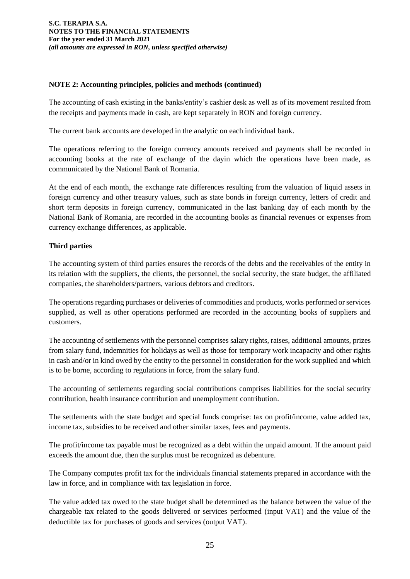The accounting of cash existing in the banks/entity's cashier desk as well as of its movement resulted from the receipts and payments made in cash, are kept separately in RON and foreign currency.

The current bank accounts are developed in the analytic on each individual bank.

The operations referring to the foreign currency amounts received and payments shall be recorded in accounting books at the rate of exchange of the dayin which the operations have been made, as communicated by the National Bank of Romania.

At the end of each month, the exchange rate differences resulting from the valuation of liquid assets in foreign currency and other treasury values, such as state bonds in foreign currency, letters of credit and short term deposits in foreign currency, communicated in the last banking day of each month by the National Bank of Romania, are recorded in the accounting books as financial revenues or expenses from currency exchange differences, as applicable.

# **Third parties**

The accounting system of third parties ensures the records of the debts and the receivables of the entity in its relation with the suppliers, the clients, the personnel, the social security, the state budget, the affiliated companies, the shareholders/partners, various debtors and creditors.

The operations regarding purchases or deliveries of commodities and products, works performed or services supplied, as well as other operations performed are recorded in the accounting books of suppliers and customers.

The accounting of settlements with the personnel comprises salary rights, raises, additional amounts, prizes from salary fund, indemnities for holidays as well as those for temporary work incapacity and other rights in cash and/or in kind owed by the entity to the personnel in consideration for the work supplied and which is to be borne, according to regulations in force, from the salary fund.

The accounting of settlements regarding social contributions comprises liabilities for the social security contribution, health insurance contribution and unemployment contribution.

The settlements with the state budget and special funds comprise: tax on profit/income, value added tax, income tax, subsidies to be received and other similar taxes, fees and payments.

The profit/income tax payable must be recognized as a debt within the unpaid amount. If the amount paid exceeds the amount due, then the surplus must be recognized as debenture.

The Company computes profit tax for the individuals financial statements prepared in accordance with the law in force, and in compliance with tax legislation in force.

The value added tax owed to the state budget shall be determined as the balance between the value of the chargeable tax related to the goods delivered or services performed (input VAT) and the value of the deductible tax for purchases of goods and services (output VAT).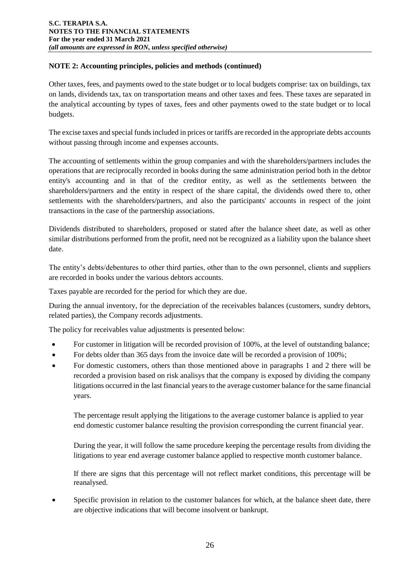Other taxes, fees, and payments owed to the state budget or to local budgets comprise: tax on buildings, tax on lands, dividends tax, tax on transportation means and other taxes and fees. These taxes are separated in the analytical accounting by types of taxes, fees and other payments owed to the state budget or to local budgets.

The excise taxes and special funds included in prices or tariffs are recorded in the appropriate debts accounts without passing through income and expenses accounts.

The accounting of settlements within the group companies and with the shareholders/partners includes the operations that are reciprocally recorded in books during the same administration period both in the debtor entity's accounting and in that of the creditor entity, as well as the settlements between the shareholders/partners and the entity in respect of the share capital, the dividends owed there to, other settlements with the shareholders/partners, and also the participants' accounts in respect of the joint transactions in the case of the partnership associations.

Dividends distributed to shareholders, proposed or stated after the balance sheet date, as well as other similar distributions performed from the profit, need not be recognized as a liability upon the balance sheet date.

The entity's debts/debentures to other third parties, other than to the own personnel, clients and suppliers are recorded in books under the various debtors accounts.

Taxes payable are recorded for the period for which they are due.

During the annual inventory, for the depreciation of the receivables balances (customers, sundry debtors, related parties), the Company records adjustments.

The policy for receivables value adjustments is presented below:

- For customer in litigation will be recorded provision of 100%, at the level of outstanding balance;
- For debts older than 365 days from the invoice date will be recorded a provision of 100%;
- For domestic customers, others than those mentioned above in paragraphs 1 and 2 there will be recorded a provision based on risk analisys that the company is exposed by dividing the company litigations occurred in the last financial years to the average customer balance for the same financial years.

The percentage result applying the litigations to the average customer balance is applied to year end domestic customer balance resulting the provision corresponding the current financial year.

During the year, it will follow the same procedure keeping the percentage results from dividing the litigations to year end average customer balance applied to respective month customer balance.

If there are signs that this percentage will not reflect market conditions, this percentage will be reanalysed.

 Specific provision in relation to the customer balances for which, at the balance sheet date, there are objective indications that will become insolvent or bankrupt.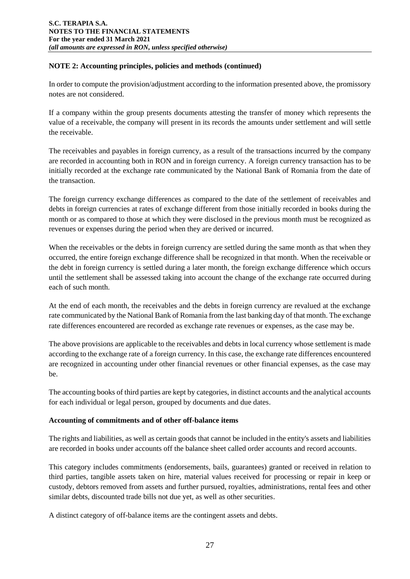In order to compute the provision/adjustment according to the information presented above, the promissory notes are not considered.

If a company within the group presents documents attesting the transfer of money which represents the value of a receivable, the company will present in its records the amounts under settlement and will settle the receivable.

The receivables and payables in foreign currency, as a result of the transactions incurred by the company are recorded in accounting both in RON and in foreign currency. A foreign currency transaction has to be initially recorded at the exchange rate communicated by the National Bank of Romania from the date of the transaction.

The foreign currency exchange differences as compared to the date of the settlement of receivables and debts in foreign currencies at rates of exchange different from those initially recorded in books during the month or as compared to those at which they were disclosed in the previous month must be recognized as revenues or expenses during the period when they are derived or incurred.

When the receivables or the debts in foreign currency are settled during the same month as that when they occurred, the entire foreign exchange difference shall be recognized in that month. When the receivable or the debt in foreign currency is settled during a later month, the foreign exchange difference which occurs until the settlement shall be assessed taking into account the change of the exchange rate occurred during each of such month.

At the end of each month, the receivables and the debts in foreign currency are revalued at the exchange rate communicated by the National Bank of Romania from the last banking day of that month. The exchange rate differences encountered are recorded as exchange rate revenues or expenses, as the case may be.

The above provisions are applicable to the receivables and debts in local currency whose settlement is made according to the exchange rate of a foreign currency. In this case, the exchange rate differences encountered are recognized in accounting under other financial revenues or other financial expenses, as the case may be.

The accounting books of third parties are kept by categories, in distinct accounts and the analytical accounts for each individual or legal person, grouped by documents and due dates.

# **Accounting of commitments and of other off-balance items**

The rights and liabilities, as well as certain goods that cannot be included in the entity's assets and liabilities are recorded in books under accounts off the balance sheet called order accounts and record accounts.

This category includes commitments (endorsements, bails, guarantees) granted or received in relation to third parties, tangible assets taken on hire, material values received for processing or repair in keep or custody, debtors removed from assets and further pursued, royalties, administrations, rental fees and other similar debts, discounted trade bills not due yet, as well as other securities.

A distinct category of off-balance items are the contingent assets and debts.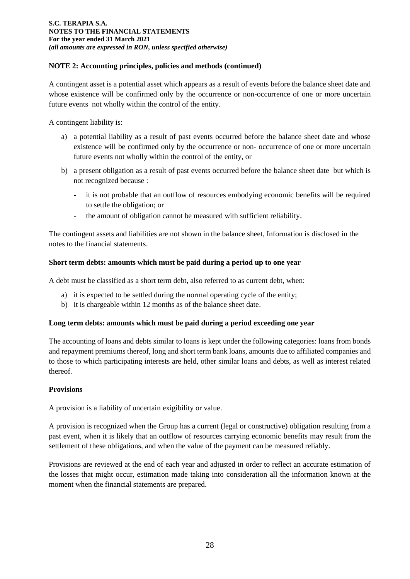A contingent asset is a potential asset which appears as a result of events before the balance sheet date and whose existence will be confirmed only by the occurrence or non-occurrence of one or more uncertain future events not wholly within the control of the entity.

A contingent liability is:

- a) a potential liability as a result of past events occurred before the balance sheet date and whose existence will be confirmed only by the occurrence or non- occurrence of one or more uncertain future events not wholly within the control of the entity, or
- b) a present obligation as a result of past events occurred before the balance sheet date but which is not recognized because :
	- it is not probable that an outflow of resources embodying economic benefits will be required to settle the obligation; or
	- the amount of obligation cannot be measured with sufficient reliability.

The contingent assets and liabilities are not shown in the balance sheet, Information is disclosed in the notes to the financial statements.

#### **Short term debts: amounts which must be paid during a period up to one year**

A debt must be classified as a short term debt, also referred to as current debt, when:

- a) it is expected to be settled during the normal operating cycle of the entity;
- b) it is chargeable within 12 months as of the balance sheet date.

#### **Long term debts: amounts which must be paid during a period exceeding one year**

The accounting of loans and debts similar to loans is kept under the following categories: loans from bonds and repayment premiums thereof, long and short term bank loans, amounts due to affiliated companies and to those to which participating interests are held, other similar loans and debts, as well as interest related thereof.

#### **Provisions**

A provision is a liability of uncertain exigibility or value.

A provision is recognized when the Group has a current (legal or constructive) obligation resulting from a past event, when it is likely that an outflow of resources carrying economic benefits may result from the settlement of these obligations, and when the value of the payment can be measured reliably.

Provisions are reviewed at the end of each year and adjusted in order to reflect an accurate estimation of the losses that might occur, estimation made taking into consideration all the information known at the moment when the financial statements are prepared.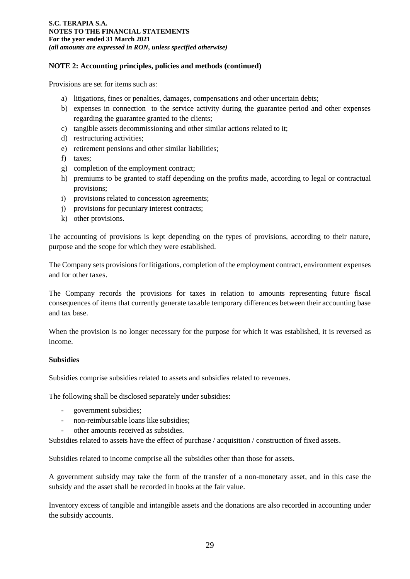Provisions are set for items such as:

- a) litigations, fines or penalties, damages, compensations and other uncertain debts;
- b) expenses in connection to the service activity during the guarantee period and other expenses regarding the guarantee granted to the clients;
- c) tangible assets decommissioning and other similar actions related to it;
- d) restructuring activities;
- e) retirement pensions and other similar liabilities;
- f) taxes;
- g) completion of the employment contract;
- h) premiums to be granted to staff depending on the profits made, according to legal or contractual provisions;
- i) provisions related to concession agreements;
- j) provisions for pecuniary interest contracts;
- k) other provisions.

The accounting of provisions is kept depending on the types of provisions, according to their nature, purpose and the scope for which they were established.

The Company sets provisions for litigations, completion of the employment contract, environment expenses and for other taxes.

The Company records the provisions for taxes in relation to amounts representing future fiscal consequences of items that currently generate taxable temporary differences between their accounting base and tax base.

When the provision is no longer necessary for the purpose for which it was established, it is reversed as income.

### **Subsidies**

Subsidies comprise subsidies related to assets and subsidies related to revenues.

The following shall be disclosed separately under subsidies:

- government subsidies;
- non-reimbursable loans like subsidies;
- other amounts received as subsidies.

Subsidies related to assets have the effect of purchase / acquisition / construction of fixed assets.

Subsidies related to income comprise all the subsidies other than those for assets.

A government subsidy may take the form of the transfer of a non-monetary asset, and in this case the subsidy and the asset shall be recorded in books at the fair value.

Inventory excess of tangible and intangible assets and the donations are also recorded in accounting under the subsidy accounts.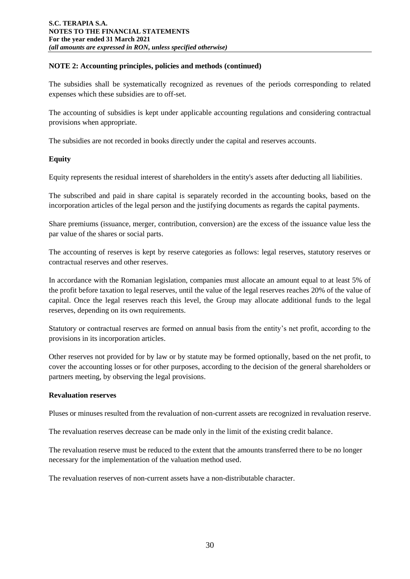The subsidies shall be systematically recognized as revenues of the periods corresponding to related expenses which these subsidies are to off-set.

The accounting of subsidies is kept under applicable accounting regulations and considering contractual provisions when appropriate.

The subsidies are not recorded in books directly under the capital and reserves accounts.

#### **Equity**

Equity represents the residual interest of shareholders in the entity's assets after deducting all liabilities.

The subscribed and paid in share capital is separately recorded in the accounting books, based on the incorporation articles of the legal person and the justifying documents as regards the capital payments.

Share premiums (issuance, merger, contribution, conversion) are the excess of the issuance value less the par value of the shares or social parts.

The accounting of reserves is kept by reserve categories as follows: legal reserves, statutory reserves or contractual reserves and other reserves.

In accordance with the Romanian legislation, companies must allocate an amount equal to at least 5% of the profit before taxation to legal reserves, until the value of the legal reserves reaches 20% of the value of capital. Once the legal reserves reach this level, the Group may allocate additional funds to the legal reserves, depending on its own requirements.

Statutory or contractual reserves are formed on annual basis from the entity's net profit, according to the provisions in its incorporation articles.

Other reserves not provided for by law or by statute may be formed optionally, based on the net profit, to cover the accounting losses or for other purposes, according to the decision of the general shareholders or partners meeting, by observing the legal provisions.

#### **Revaluation reserves**

Pluses or minuses resulted from the revaluation of non-current assets are recognized in revaluation reserve.

The revaluation reserves decrease can be made only in the limit of the existing credit balance.

The revaluation reserve must be reduced to the extent that the amounts transferred there to be no longer necessary for the implementation of the valuation method used.

The revaluation reserves of non-current assets have a non-distributable character.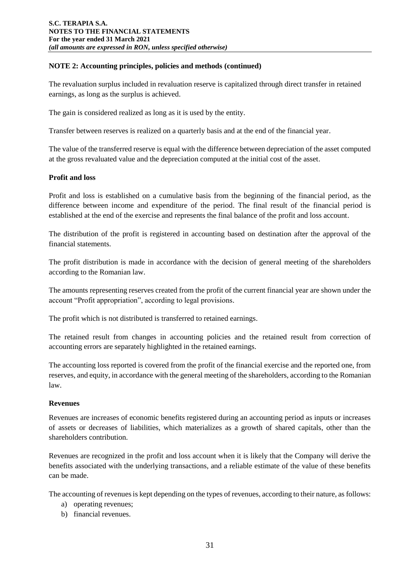The revaluation surplus included in revaluation reserve is capitalized through direct transfer in retained earnings, as long as the surplus is achieved.

The gain is considered realized as long as it is used by the entity.

Transfer between reserves is realized on a quarterly basis and at the end of the financial year.

The value of the transferred reserve is equal with the difference between depreciation of the asset computed at the gross revaluated value and the depreciation computed at the initial cost of the asset.

# **Profit and loss**

Profit and loss is established on a cumulative basis from the beginning of the financial period, as the difference between income and expenditure of the period. The final result of the financial period is established at the end of the exercise and represents the final balance of the profit and loss account.

The distribution of the profit is registered in accounting based on destination after the approval of the financial statements.

The profit distribution is made in accordance with the decision of general meeting of the shareholders according to the Romanian law.

The amounts representing reserves created from the profit of the current financial year are shown under the account "Profit appropriation", according to legal provisions.

The profit which is not distributed is transferred to retained earnings.

The retained result from changes in accounting policies and the retained result from correction of accounting errors are separately highlighted in the retained earnings.

The accounting loss reported is covered from the profit of the financial exercise and the reported one, from reserves, and equity, in accordance with the general meeting of the shareholders, according to the Romanian law.

# **Revenues**

Revenues are increases of economic benefits registered during an accounting period as inputs or increases of assets or decreases of liabilities, which materializes as a growth of shared capitals, other than the shareholders contribution.

Revenues are recognized in the profit and loss account when it is likely that the Company will derive the benefits associated with the underlying transactions, and a reliable estimate of the value of these benefits can be made.

The accounting of revenues is kept depending on the types of revenues, according to their nature, as follows:

- a) operating revenues;
- b) financial revenues.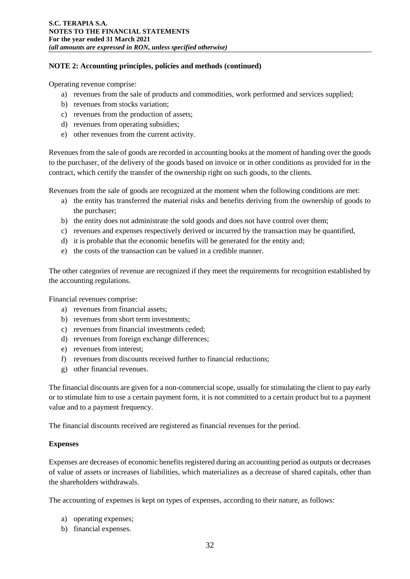Operating revenue comprise:

- a) revenues from the sale of products and commodities, work performed and services supplied;
- b) revenues from stocks variation;
- c) revenues from the production of assets;
- d) revenues from operating subsidies;
- e) other revenues from the current activity.

Revenues from the sale of goods are recorded in accounting books at the moment of handing over the goods to the purchaser, of the delivery of the goods based on invoice or in other conditions as provided for in the contract, which certify the transfer of the ownership right on such goods, to the clients.

Revenues from the sale of goods are recognized at the moment when the following conditions are met:

- a) the entity has transferred the material risks and benefits deriving from the ownership of goods to the purchaser;
- b) the entity does not administrate the sold goods and does not have control over them;
- c) revenues and expenses respectively derived or incurred by the transaction may be quantified,
- d) it is probable that the economic benefits will be generated for the entity and;
- e) the costs of the transaction can be valued in a credible manner.

The other categories of revenue are recognized if they meet the requirements for recognition established by the accounting regulations.

Financial revenues comprise:

- a) revenues from financial assets;
- b) revenues from short term investments;
- c) revenues from financial investments ceded;
- d) revenues from foreign exchange differences;
- e) revenues from interest;
- f) revenues from discounts received further to financial reductions;
- g) other financial revenues.

The financial discounts are given for a non-commercial scope, usually for stimulating the client to pay early or to stimulate him to use a certain payment form, it is not committed to a certain product but to a payment value and to a payment frequency.

The financial discounts received are registered as financial revenues for the period.

#### **Expenses**

Expenses are decreases of economic benefits registered during an accounting period as outputs or decreases of value of assets or increases of liabilities, which materializes as a decrease of shared capitals, other than the shareholders withdrawals.

The accounting of expenses is kept on types of expenses, according to their nature, as follows:

- a) operating expenses;
- b) financial expenses.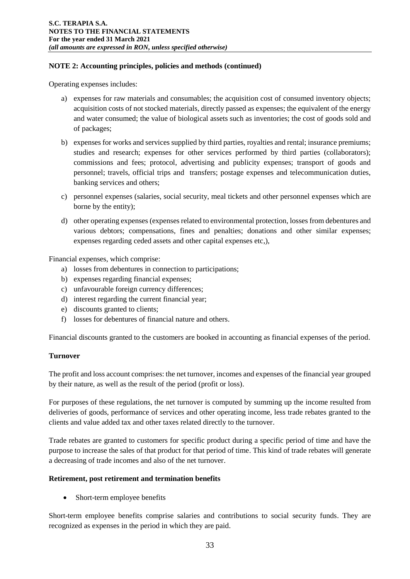Operating expenses includes:

- a) expenses for raw materials and consumables; the acquisition cost of consumed inventory objects; acquisition costs of not stocked materials, directly passed as expenses; the equivalent of the energy and water consumed; the value of biological assets such as inventories; the cost of goods sold and of packages;
- b) expenses for works and services supplied by third parties, royalties and rental; insurance premiums; studies and research; expenses for other services performed by third parties (collaborators); commissions and fees; protocol, advertising and publicity expenses; transport of goods and personnel; travels, official trips and transfers; postage expenses and telecommunication duties, banking services and others;
- c) personnel expenses (salaries, social security, meal tickets and other personnel expenses which are borne by the entity);
- d) other operating expenses (expenses related to environmental protection, losses from debentures and various debtors; compensations, fines and penalties; donations and other similar expenses; expenses regarding ceded assets and other capital expenses etc,),

Financial expenses, which comprise:

- a) losses from debentures in connection to participations;
- b) expenses regarding financial expenses;
- c) unfavourable foreign currency differences;
- d) interest regarding the current financial year;
- e) discounts granted to clients;
- f) losses for debentures of financial nature and others.

Financial discounts granted to the customers are booked in accounting as financial expenses of the period.

#### **Turnover**

The profit and loss account comprises: the net turnover, incomes and expenses of the financial year grouped by their nature, as well as the result of the period (profit or loss).

For purposes of these regulations, the net turnover is computed by summing up the income resulted from deliveries of goods, performance of services and other operating income, less trade rebates granted to the clients and value added tax and other taxes related directly to the turnover.

Trade rebates are granted to customers for specific product during a specific period of time and have the purpose to increase the sales of that product for that period of time. This kind of trade rebates will generate a decreasing of trade incomes and also of the net turnover.

#### **Retirement, post retirement and termination benefits**

• Short-term employee benefits

Short-term employee benefits comprise salaries and contributions to social security funds. They are recognized as expenses in the period in which they are paid.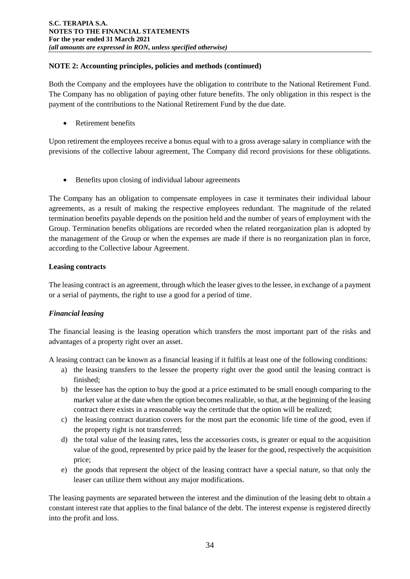Both the Company and the employees have the obligation to contribute to the National Retirement Fund. The Company has no obligation of paying other future benefits. The only obligation in this respect is the payment of the contributions to the National Retirement Fund by the due date.

Retirement benefits

Upon retirement the employees receive a bonus equal with to a gross average salary in compliance with the previsions of the collective labour agreement, The Company did record provisions for these obligations.

• Benefits upon closing of individual labour agreements

The Company has an obligation to compensate employees in case it terminates their individual labour agreements, as a result of making the respective employees redundant. The magnitude of the related termination benefits payable depends on the position held and the number of years of employment with the Group. Termination benefits obligations are recorded when the related reorganization plan is adopted by the management of the Group or when the expenses are made if there is no reorganization plan in force, according to the Collective labour Agreement.

# **Leasing contracts**

The leasing contract is an agreement, through which the leaser gives to the lessee, in exchange of a payment or a serial of payments, the right to use a good for a period of time.

# *Financial leasing*

The financial leasing is the leasing operation which transfers the most important part of the risks and advantages of a property right over an asset.

A leasing contract can be known as a financial leasing if it fulfils at least one of the following conditions:

- a) the leasing transfers to the lessee the property right over the good until the leasing contract is finished;
- b) the lessee has the option to buy the good at a price estimated to be small enough comparing to the market value at the date when the option becomes realizable, so that, at the beginning of the leasing contract there exists in a reasonable way the certitude that the option will be realized;
- c) the leasing contract duration covers for the most part the economic life time of the good, even if the property right is not transferred;
- d) the total value of the leasing rates, less the accessories costs, is greater or equal to the acquisition value of the good, represented by price paid by the leaser for the good, respectively the acquisition price;
- e) the goods that represent the object of the leasing contract have a special nature, so that only the leaser can utilize them without any major modifications.

The leasing payments are separated between the interest and the diminution of the leasing debt to obtain a constant interest rate that applies to the final balance of the debt. The interest expense is registered directly into the profit and loss.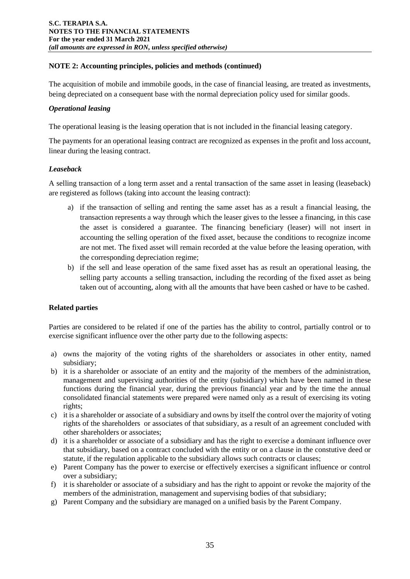The acquisition of mobile and immobile goods, in the case of financial leasing, are treated as investments, being depreciated on a consequent base with the normal depreciation policy used for similar goods.

#### *Operational leasing*

The operational leasing is the leasing operation that is not included in the financial leasing category.

The payments for an operational leasing contract are recognized as expenses in the profit and loss account, linear during the leasing contract.

#### *Leaseback*

A selling transaction of a long term asset and a rental transaction of the same asset in leasing (leaseback) are registered as follows (taking into account the leasing contract):

- a) if the transaction of selling and renting the same asset has as a result a financial leasing, the transaction represents a way through which the leaser gives to the lessee a financing, in this case the asset is considered a guarantee. The financing beneficiary (leaser) will not insert in accounting the selling operation of the fixed asset, because the conditions to recognize income are not met. The fixed asset will remain recorded at the value before the leasing operation, with the corresponding depreciation regime;
- b) if the sell and lease operation of the same fixed asset has as result an operational leasing, the selling party accounts a selling transaction, including the recording of the fixed asset as being taken out of accounting, along with all the amounts that have been cashed or have to be cashed.

# **Related parties**

Parties are considered to be related if one of the parties has the ability to control, partially control or to exercise significant influence over the other party due to the following aspects:

- a) owns the majority of the voting rights of the shareholders or associates in other entity, named subsidiary;
- b) it is a shareholder or associate of an entity and the majority of the members of the administration, management and supervising authorities of the entity (subsidiary) which have been named in these functions during the financial year, during the previous financial year and by the time the annual consolidated financial statements were prepared were named only as a result of exercising its voting rights;
- c) it is a shareholder or associate of a subsidiary and owns by itself the control over the majority of voting rights of the shareholders or associates of that subsidiary, as a result of an agreement concluded with other shareholders or associates;
- d) it is a shareholder or associate of a subsidiary and has the right to exercise a dominant influence over that subsidiary, based on a contract concluded with the entity or on a clause in the constutive deed or statute, if the regulation applicable to the subsidiary allows such contracts or clauses;
- e) Parent Company has the power to exercise or effectively exercises a significant influence or control over a subsidiary;
- f) it is shareholder or associate of a subsidiary and has the right to appoint or revoke the majority of the members of the administration, management and supervising bodies of that subsidiary;
- g) Parent Company and the subsidiary are managed on a unified basis by the Parent Company.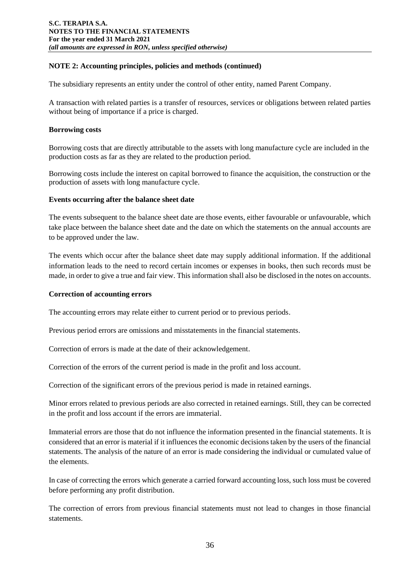The subsidiary represents an entity under the control of other entity, named Parent Company.

A transaction with related parties is a transfer of resources, services or obligations between related parties without being of importance if a price is charged.

#### **Borrowing costs**

Borrowing costs that are directly attributable to the assets with long manufacture cycle are included in the production costs as far as they are related to the production period.

Borrowing costs include the interest on capital borrowed to finance the acquisition, the construction or the production of assets with long manufacture cycle.

#### **Events occurring after the balance sheet date**

The events subsequent to the balance sheet date are those events, either favourable or unfavourable, which take place between the balance sheet date and the date on which the statements on the annual accounts are to be approved under the law.

The events which occur after the balance sheet date may supply additional information. If the additional information leads to the need to record certain incomes or expenses in books, then such records must be made, in order to give a true and fair view. This information shall also be disclosed in the notes on accounts.

#### **Correction of accounting errors**

The accounting errors may relate either to current period or to previous periods.

Previous period errors are omissions and misstatements in the financial statements.

Correction of errors is made at the date of their acknowledgement.

Correction of the errors of the current period is made in the profit and loss account.

Correction of the significant errors of the previous period is made in retained earnings.

Minor errors related to previous periods are also corrected in retained earnings. Still, they can be corrected in the profit and loss account if the errors are immaterial.

Immaterial errors are those that do not influence the information presented in the financial statements. It is considered that an error is material if it influences the economic decisions taken by the users of the financial statements. The analysis of the nature of an error is made considering the individual or cumulated value of the elements.

In case of correcting the errors which generate a carried forward accounting loss, such loss must be covered before performing any profit distribution.

The correction of errors from previous financial statements must not lead to changes in those financial statements.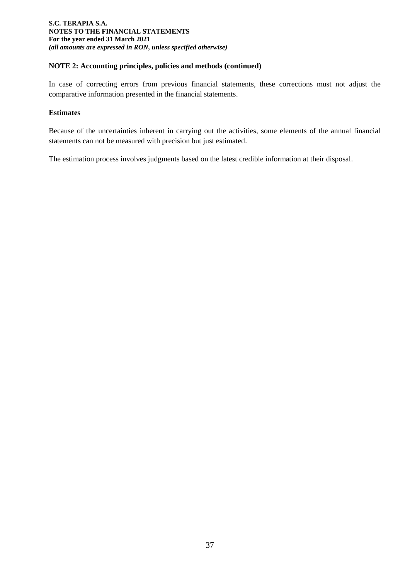In case of correcting errors from previous financial statements, these corrections must not adjust the comparative information presented in the financial statements.

#### **Estimates**

Because of the uncertainties inherent in carrying out the activities, some elements of the annual financial statements can not be measured with precision but just estimated.

The estimation process involves judgments based on the latest credible information at their disposal.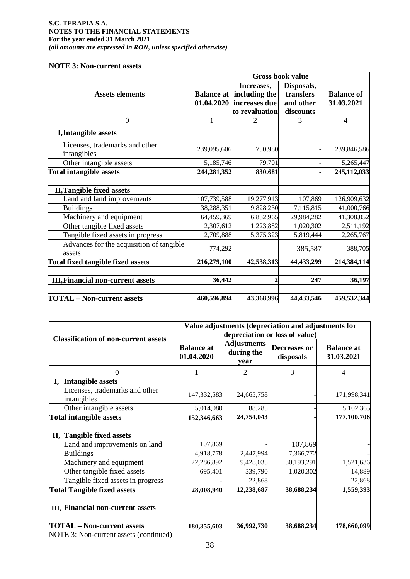#### **S.C. TERAPIA S.A. NOTES TO THE FINANCIAL STATEMENTS For the year ended 31 March 2021** *(all amounts are expressed in RON, unless specified otherwise)*

#### **NOTE 3: Non-current assets**

|                                                    | <b>Gross book value</b> |                                                                                  |                                                   |                                 |
|----------------------------------------------------|-------------------------|----------------------------------------------------------------------------------|---------------------------------------------------|---------------------------------|
| <b>Assets elements</b>                             | 01.04.2020              | Increases,<br><b>Balance at including the</b><br>increases due<br>to revaluation | Disposals,<br>transfers<br>and other<br>discounts | <b>Balance of</b><br>31.03.2021 |
| $\boldsymbol{0}$                                   | $\mathbf{1}$            | 2                                                                                | 3                                                 | $\overline{4}$                  |
| I, Intangible assets                               |                         |                                                                                  |                                                   |                                 |
| Licenses, trademarks and other<br>intangibles      | 239,095,606             | 750,980                                                                          |                                                   | 239,846,586                     |
| Other intangible assets                            | 5,185,746               | 79,701                                                                           |                                                   | 5,265,447                       |
| <b>Total intangible assets</b>                     | 244,281,352             | 830.681                                                                          |                                                   | 245,112,033                     |
| <b>II, Tangible fixed assets</b>                   |                         |                                                                                  |                                                   |                                 |
| Land and land improvements                         | 107,739,588             | 19,277,913                                                                       | 107,869                                           | 126,909,632                     |
| <b>Buildings</b>                                   | 38,288,351              | 9,828,230                                                                        | 7,115,815                                         | 41,000,766                      |
| Machinery and equipment                            | 64,459,369              | 6,832,965                                                                        | 29,984,282                                        | 41,308,052                      |
| Other tangible fixed assets                        | 2,307,612               | 1,223,882                                                                        | 1,020,302                                         | 2,511,192                       |
| Tangible fixed assets in progress                  | 2,709,888               | 5,375,323                                                                        | 5,819,444                                         | 2,265,767                       |
| Advances for the acquisition of tangible<br>assets | 774,292                 |                                                                                  | 385,587                                           | 388,705                         |
| <b>Total fixed tangible fixed assets</b>           | 216,279,100             | 42,538,313                                                                       | 44, 433, 299                                      | 214,384,114                     |
| <b>III, Financial non-current assets</b>           | 36,442                  | $\overline{2}$                                                                   | 247                                               | 36,197                          |
| <b>TOTAL</b> – Non-current assets                  | 460,596,894             | 43,368,996                                                                       | 44,433,546                                        | 459,532,344                     |

|                                             |                                                                                                           | Value adjustments (depreciation and adjustments for<br>depreciation or loss of value) |                                          |                                  |                                 |  |
|---------------------------------------------|-----------------------------------------------------------------------------------------------------------|---------------------------------------------------------------------------------------|------------------------------------------|----------------------------------|---------------------------------|--|
| <b>Classification of non-current assets</b> |                                                                                                           | <b>Balance</b> at<br>01.04.2020                                                       | <b>Adjustments</b><br>during the<br>year | <b>Decreases or</b><br>disposals | <b>Balance</b> at<br>31.03.2021 |  |
|                                             | 0                                                                                                         |                                                                                       | 2                                        | 3                                | 4                               |  |
|                                             | I, Intangible assets                                                                                      |                                                                                       |                                          |                                  |                                 |  |
|                                             | Licenses, trademarks and other<br>intangibles                                                             | 147,332,583                                                                           | 24,665,758                               |                                  | 171,998,341                     |  |
|                                             | Other intangible assets                                                                                   | 5,014,080                                                                             | 88,285                                   |                                  | 5,102,365                       |  |
|                                             | <b>Total intangible assets</b>                                                                            | 152,346,663                                                                           | 24,754,043                               |                                  | 177,100,706                     |  |
|                                             | II, Tangible fixed assets                                                                                 |                                                                                       |                                          |                                  |                                 |  |
|                                             | Land and improvements on land                                                                             | 107,869                                                                               |                                          | 107,869                          |                                 |  |
|                                             | <b>Buildings</b>                                                                                          | 4,918,778                                                                             | 2,447,994                                | 7,366,772                        |                                 |  |
|                                             | Machinery and equipment                                                                                   | 22,286,892                                                                            | 9,428,035                                | 30,193,291                       | 1,521,636                       |  |
|                                             | Other tangible fixed assets                                                                               | 695,401                                                                               | 339,790                                  | 1,020,302                        | 14,889                          |  |
|                                             | Tangible fixed assets in progress                                                                         |                                                                                       | 22,868                                   |                                  | 22,868                          |  |
|                                             | <b>Total Tangible fixed assets</b>                                                                        | 28,008,940                                                                            | 12,238,687                               | 38,688,234                       | 1,559,393                       |  |
|                                             | III, Financial non-current assets                                                                         |                                                                                       |                                          |                                  |                                 |  |
|                                             | <b>TOTAL</b> – Non-current assets<br>$M\Omega_{\text{TE}}$ 2. $M_{\text{opt}}$ sympath consta (continued) | 180,355,603                                                                           | 36,992,730                               | 38,688,234                       | 178,660,099                     |  |

NOTE 3: Non-current assets (continued)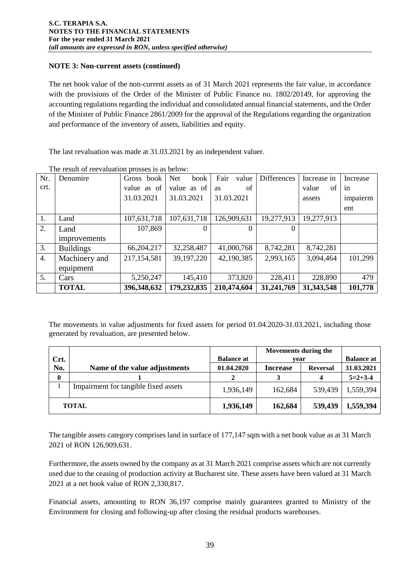# **NOTE 3: Non-current assets (continued)**

The net book value of the non-current assets as of 31 March 2021 represents the fair value, in accordance with the provisions of the Order of the Minister of Public Finance no. 1802/20149, for approving the accounting regulations regarding the individual and consolidated annual financial statements, and the Order of the Minister of Public Finance 2861/2009 for the approval of the Regulations regarding the organization and performance of the inventory of assets, liabilities and equity.

The last revaluation was made at 31.03.2021 by an independent valuer.

| Nr.  | Denumire         | Gross book   | <b>Net</b><br>book | Fair<br>value | <b>Differences</b> | Increase in  | Increase |
|------|------------------|--------------|--------------------|---------------|--------------------|--------------|----------|
| crt. |                  | value as of  | value as of        | of<br>as      |                    | value<br>of  | in       |
|      |                  | 31.03.2021   | 31.03.2021         | 31.03.2021    |                    | assets       | impaierm |
|      |                  |              |                    |               |                    |              | ent      |
| 1.   | Land             | 107,631,718  | 107,631,718        | 126,909,631   | 19,277,913         | 19,277,913   |          |
| 2.   | Land             | 107,869      | 0                  |               | $\Omega$           |              |          |
|      | improvements     |              |                    |               |                    |              |          |
| 3.   | <b>Buildings</b> | 66, 204, 217 | 32,258,487         | 41,000,768    | 8,742,281          | 8,742,281    |          |
| 4.   | Machinery and    | 217,154,581  | 39, 197, 220       | 42,190,385    | 2,993,165          | 3,094,464    | 101,299  |
|      | equipment        |              |                    |               |                    |              |          |
| 5.   | Cars             | 5,250,247    | 145,410            | 373,820       | 228,411            | 228,890      | 479      |
|      | <b>TOTAL</b>     | 396,348,632  | 179,232,835        | 210,474,604   | 31,241,769         | 31, 343, 548 | 101,778  |

The result of reevaluation prosses is as below:

The movements in value adjustments for fixed assets for period 01.04.2020-31.03.2021, including those generated by revaluation, are presented below.

|      |                                      |                   | Movements during the |                 |                   |
|------|--------------------------------------|-------------------|----------------------|-----------------|-------------------|
| Crt. |                                      | <b>Balance at</b> | vear                 |                 | <b>Balance at</b> |
| No.  | Name of the value adjustments        | 01.04.2020        | <b>Increase</b>      | <b>Reversal</b> | 31.03.2021        |
| 0    |                                      |                   |                      |                 | $5=2+3-4$         |
|      | Impairment for tangible fixed assets | 1,936,149         | 162,684              | 539,439         | 1,559,394         |
|      | <b>TOTAL</b>                         | 1,936,149         | 162,684              | 539,439         | 1,559,394         |

The tangible assets category comprises land in surface of 177,147 sqm with a net book value as at 31 March 2021 of RON 126,909,631.

Furthermore, the assets owned by the company as at 31 March 2021 comprise assets which are not currently used due to the ceasing of production activity at Bucharest site. These assets have been valued at 31 March 2021 at a net book value of RON 2,330,817.

Financial assets, amounting to RON 36,197 comprise mainly guarantees granted to Ministry of the Environment for closing and following-up after closing the residual products warehouses.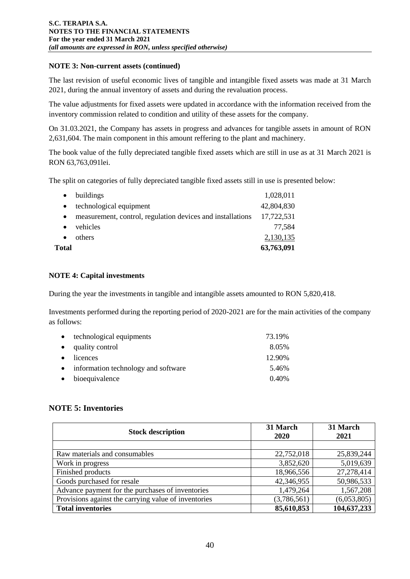#### **NOTE 3: Non-current assets (continued)**

The last revision of useful economic lives of tangible and intangible fixed assets was made at 31 March 2021, during the annual inventory of assets and during the revaluation process.

The value adjustments for fixed assets were updated in accordance with the information received from the inventory commission related to condition and utility of these assets for the company.

On 31.03.2021, the Company has assets in progress and advances for tangible assets in amount of RON 2,631,604. The main component in this amount reffering to the plant and machinery.

The book value of the fully depreciated tangible fixed assets which are still in use as at 31 March 2021 is RON 63,763,091lei.

The split on categories of fully depreciated tangible fixed assets still in use is presented below:

| buildings<br>$\bullet$                                                  | 1,028,011  |
|-------------------------------------------------------------------------|------------|
| technological equipment<br>$\bullet$                                    | 42,804,830 |
| measurement, control, regulation devices and installations<br>$\bullet$ | 17,722,531 |
| vehicles<br>$\bullet$                                                   | 77,584     |
| others<br>$\bullet$                                                     | 2,130,135  |
| Total                                                                   | 63,763,091 |

# **NOTE 4: Capital investments**

During the year the investments in tangible and intangible assets amounted to RON 5,820,418.

Investments performed during the reporting period of 2020-2021 are for the main activities of the company as follows:

| $\bullet$ | technological equipments              | 73.19% |
|-----------|---------------------------------------|--------|
|           | • quality control                     | 8.05%  |
| $\bullet$ | licences                              | 12.90% |
|           | • information technology and software | 5.46%  |
|           | • bioequivalence                      | 0.40%  |

# **NOTE 5: Inventories**

| <b>Stock description</b>                             | 31 March<br>2020 | 31 March<br>2021 |  |
|------------------------------------------------------|------------------|------------------|--|
|                                                      |                  |                  |  |
| Raw materials and consumables                        | 22,752,018       | 25,839,244       |  |
| Work in progress                                     | 3,852,620        | 5,019,639        |  |
| Finished products                                    | 18,966,556       | 27,278,414       |  |
| Goods purchased for resale                           | 42,346,955       | 50,986,533       |  |
| Advance payment for the purchases of inventories     | 1,479,264        | 1,567,208        |  |
| Provisions against the carrying value of inventories | (3,786,561)      | (6,053,805)      |  |
| <b>Total inventories</b>                             | 85,610,853       | 104,637,233      |  |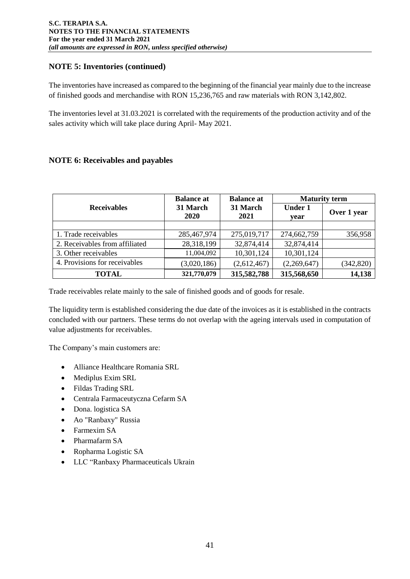# **NOTE 5: Inventories (continued)**

The inventories have increased as compared to the beginning of the financial year mainly due to the increase of finished goods and merchandise with RON 15,236,765 and raw materials with RON 3,142,802.

The inventories level at 31.03.2021 is correlated with the requirements of the production activity and of the sales activity which will take place during April- May 2021.

# **NOTE 6: Receivables and payables**

|                                | <b>Balance at</b> | <b>Balance at</b> |                        | <b>Maturity term</b> |
|--------------------------------|-------------------|-------------------|------------------------|----------------------|
| <b>Receivables</b>             | 31 March<br>2020  | 31 March<br>2021  | <b>Under 1</b><br>year | Over 1 year          |
|                                |                   |                   |                        |                      |
| 1. Trade receivables           | 285,467,974       | 275,019,717       | 274,662,759            | 356,958              |
| 2. Receivables from affiliated | 28,318,199        | 32,874,414        | 32,874,414             |                      |
| 3. Other receivables           | 11,004,092        | 10,301,124        | 10,301,124             |                      |
| 4. Provisions for receivables  | (3,020,186)       | (2,612,467)       | (2,269,647)            | (342, 820)           |
| <b>TOTAL</b>                   | 321,770,079       | 315,582,788       | 315,568,650            | 14,138               |

Trade receivables relate mainly to the sale of finished goods and of goods for resale.

The liquidity term is established considering the due date of the invoices as it is established in the contracts concluded with our partners. These terms do not overlap with the ageing intervals used in computation of value adjustments for receivables.

The Company's main customers are:

- Alliance Healthcare Romania SRL
- Mediplus Exim SRL
- Fildas Trading SRL
- Centrala Farmaceutyczna Cefarm SA
- Dona. logistica SA
- Ao "Ranbaxy" Russia
- Farmexim SA
- Pharmafarm SA
- Ropharma Logistic SA
- LLC "Ranbaxy Pharmaceuticals Ukrain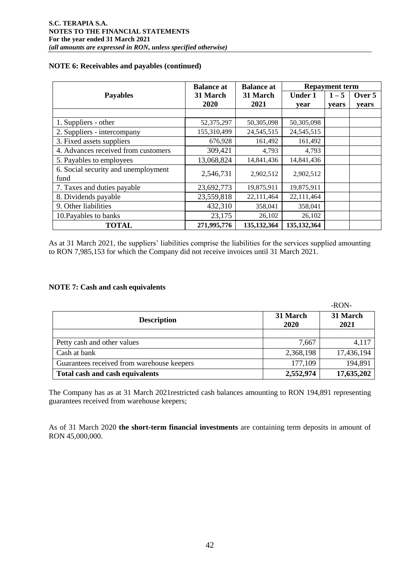#### **NOTE 6: Receivables and payables (continued)**

|                                             | <b>Balance at</b> | <b>Balance at</b> | <b>Repayment term</b> |         |        |
|---------------------------------------------|-------------------|-------------------|-----------------------|---------|--------|
| <b>Payables</b>                             | 31 March          | 31 March          | <b>Under 1</b>        | $1 - 5$ | Over 5 |
|                                             | 2020              | 2021              | year                  | years   | years  |
| 1. Suppliers - other                        | 52,375,297        | 50,305,098        | 50,305,098            |         |        |
| 2. Suppliers - intercompany                 | 155,310,499       | 24, 545, 515      | 24,545,515            |         |        |
| 3. Fixed assets suppliers                   | 676,928           | 161,492           | 161,492               |         |        |
| 4. Advances received from customers         | 309,421           | 4,793             | 4,793                 |         |        |
| 5. Payables to employees                    | 13,068,824        | 14,841,436        | 14,841,436            |         |        |
| 6. Social security and unemployment<br>fund | 2,546,731         | 2,902,512         | 2,902,512             |         |        |
| 7. Taxes and duties payable                 | 23,692,773        | 19,875,911        | 19,875,911            |         |        |
| 8. Dividends payable                        | 23,559,818        | 22,111,464        | 22,111,464            |         |        |
| 9. Other liabilities                        | 432,310           | 358,041           | 358,041               |         |        |
| 10. Payables to banks                       | 23,175            | 26,102            | 26,102                |         |        |
| <b>TOTAL</b>                                | 271,995,776       | 135, 132, 364     | 135,132,364           |         |        |

As at 31 March 2021, the suppliers' liabilities comprise the liabilities for the services supplied amounting to RON 7,985,153 for which the Company did not receive invoices until 31 March 2021.

#### **NOTE 7: Cash and cash equivalents**

|                                            |                  | $-RON-$          |
|--------------------------------------------|------------------|------------------|
| <b>Description</b>                         | 31 March<br>2020 | 31 March<br>2021 |
|                                            |                  |                  |
| Petty cash and other values                | 7,667            | 4,117            |
| Cash at bank                               | 2,368,198        | 17,436,194       |
| Guarantees received from warehouse keepers | 177,109          | 194,891          |
| Total cash and cash equivalents            | 2,552,974        | 17,635,202       |

The Company has as at 31 March 2021restricted cash balances amounting to RON 194,891 representing guarantees received from warehouse keepers;

As of 31 March 2020 **the short-term financial investments** are containing term deposits in amount of RON 45,000,000.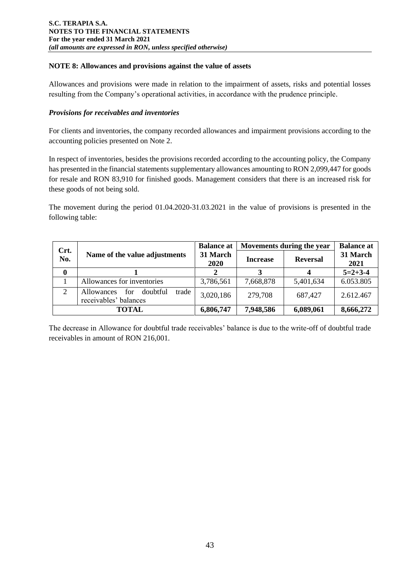### **NOTE 8: Allowances and provisions against the value of assets**

Allowances and provisions were made in relation to the impairment of assets, risks and potential losses resulting from the Company's operational activities, in accordance with the prudence principle.

### *Provisions for receivables and inventories*

For clients and inventories, the company recorded allowances and impairment provisions according to the accounting policies presented on Note 2.

In respect of inventories, besides the provisions recorded according to the accounting policy, the Company has presented in the financial statements supplementary allowances amounting to RON 2,099,447 for goods for resale and RON 83,910 for finished goods. Management considers that there is an increased risk for these goods of not being sold.

The movement during the period 01.04.2020-31.03.2021 in the value of provisions is presented in the following table:

| Crt. |                                                                        | <b>Balance at</b> | Movements during the year |                 | <b>Balance at</b> |
|------|------------------------------------------------------------------------|-------------------|---------------------------|-----------------|-------------------|
| No.  | Name of the value adjustments                                          | 31 March<br>2020  | <b>Increase</b>           | <b>Reversal</b> | 31 March<br>2021  |
|      |                                                                        |                   |                           |                 | $5=2+3-4$         |
|      | Allowances for inventories                                             | 3,786,561         | 7,668,878                 | 5,401,634       | 6.053.805         |
| 2    | trade<br>doubtful<br>for<br><b>Allowances</b><br>receivables' balances | 3,020,186         | 279,708                   | 687,427         | 2.612.467         |
|      | <b>TOTAL</b>                                                           | 6,806,747         | 7,948,586                 | 6,089,061       | 8,666,272         |

The decrease in Allowance for doubtful trade receivables' balance is due to the write-off of doubtful trade receivables in amount of RON 216,001.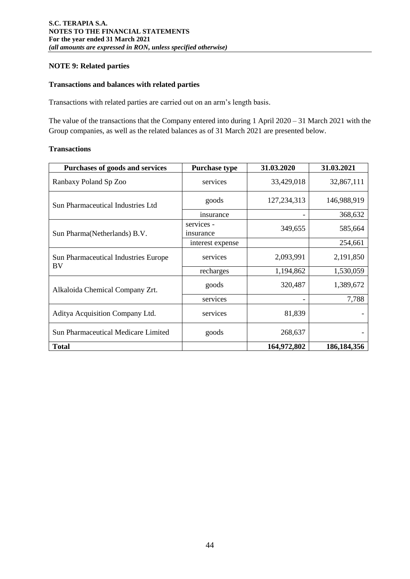#### **NOTE 9: Related parties**

#### **Transactions and balances with related parties**

Transactions with related parties are carried out on an arm's length basis.

The value of the transactions that the Company entered into during 1 April 2020 – 31 March 2021 with the Group companies, as well as the related balances as of 31 March 2021 are presented below.

#### **Transactions**

| Purchases of goods and services             | <b>Purchase type</b>    | 31.03.2020    | 31.03.2021    |
|---------------------------------------------|-------------------------|---------------|---------------|
| Ranbaxy Poland Sp Zoo                       | services                | 33,429,018    | 32,867,111    |
| Sun Pharmaceutical Industries Ltd           | goods                   | 127, 234, 313 | 146,988,919   |
|                                             | insurance               |               | 368,632       |
| Sun Pharma (Netherlands) B.V.               | services -<br>insurance | 349,655       | 585,664       |
|                                             | interest expense        |               | 254,661       |
| <b>Sun Pharmaceutical Industries Europe</b> | services                | 2,093,991     | 2,191,850     |
| <b>BV</b>                                   | recharges               | 1,194,862     | 1,530,059     |
| Alkaloida Chemical Company Zrt.             | goods                   | 320,487       | 1,389,672     |
|                                             | services                |               | 7,788         |
| Aditya Acquisition Company Ltd.             | services                | 81,839        |               |
| Sun Pharmaceutical Medicare Limited         | goods                   | 268,637       |               |
| <b>Total</b>                                |                         | 164,972,802   | 186, 184, 356 |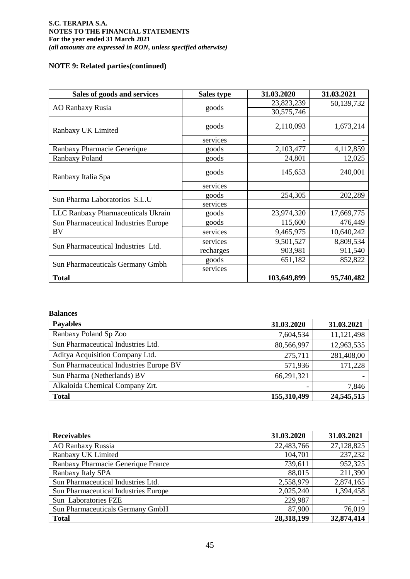# **NOTE 9: Related parties(continued)**

| Sales of goods and services          | <b>Sales type</b> | 31.03.2020  | 31.03.2021 |
|--------------------------------------|-------------------|-------------|------------|
|                                      |                   | 23,823,239  | 50,139,732 |
| <b>AO Ranbaxy Rusia</b>              | goods             | 30,575,746  |            |
| Ranbaxy UK Limited                   | goods             | 2,110,093   | 1,673,214  |
|                                      | services          |             |            |
| Ranbaxy Pharmacie Generique          | goods             | 2,103,477   | 4,112,859  |
| Ranbaxy Poland                       | goods             | 24,801      | 12,025     |
| Ranbaxy Italia Spa                   | goods             | 145,653     | 240,001    |
|                                      | services          |             |            |
| Sun Pharma Laboratorios S.L.U        | goods             | 254,305     | 202,289    |
|                                      | services          |             |            |
| LLC Ranbaxy Pharmaceuticals Ukrain   | goods             | 23,974,320  | 17,669,775 |
| Sun Pharmaceutical Industries Europe | goods             | 115,600     | 476,449    |
| BV                                   | services          | 9,465,975   | 10,640,242 |
|                                      | services          | 9,501,527   | 8,809,534  |
| Sun Pharmaceutical Industries Ltd.   | recharges         | 903,981     | 911,540    |
|                                      | goods             | 651,182     | 852,822    |
| Sun Pharmaceuticals Germany Gmbh     | services          |             |            |
| <b>Total</b>                         |                   | 103,649,899 | 95,740,482 |

#### **Balances**

| <b>Payables</b>                         | 31.03.2020  | 31.03.2021 |
|-----------------------------------------|-------------|------------|
| Ranbaxy Poland Sp Zoo                   | 7,604,534   | 11,121,498 |
| Sun Pharmaceutical Industries Ltd.      | 80,566,997  | 12,963,535 |
| Aditya Acquisition Company Ltd.         | 275,711     | 281,408,00 |
| Sun Pharmaceutical Industries Europe BV | 571,936     | 171,228    |
| Sun Pharma (Netherlands) BV             | 66,291,321  |            |
| Alkaloida Chemical Company Zrt.         |             | 7,846      |
| <b>Total</b>                            | 155,310,499 | 24,545,515 |

| <b>Receivables</b>                          | 31.03.2020 | 31.03.2021 |
|---------------------------------------------|------------|------------|
| <b>AO Ranbaxy Russia</b>                    | 22,483,766 | 27,128,825 |
| Ranbaxy UK Limited                          | 104,701    | 237,232    |
| Ranbaxy Pharmacie Generique France          | 739,611    | 952,325    |
| Ranbaxy Italy SPA                           | 88,015     | 211,390    |
| Sun Pharmaceutical Industries Ltd.          | 2,558,979  | 2,874,165  |
| <b>Sun Pharmaceutical Industries Europe</b> | 2,025,240  | 1,394,458  |
| <b>Sun Laboratories FZE</b>                 | 229,987    |            |
| Sun Pharmaceuticals Germany GmbH            | 87,900     | 76,019     |
| <b>Total</b>                                | 28,318,199 | 32,874,414 |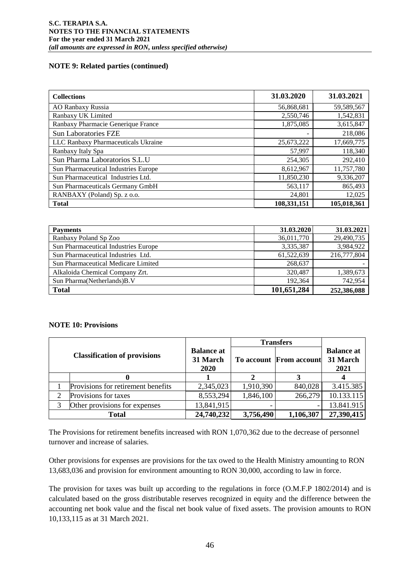# **NOTE 9: Related parties (continued)**

| <b>Collections</b>                          | 31.03.2020  | 31.03.2021  |
|---------------------------------------------|-------------|-------------|
| AO Ranbaxy Russia                           | 56,868,681  | 59,589,567  |
| Ranbaxy UK Limited                          | 2,550,746   | 1,542,831   |
| Ranbaxy Pharmacie Generique France          | 1,875,085   | 3,615,847   |
| <b>Sun Laboratories FZE</b>                 | -           | 218,086     |
| LLC Ranbaxy Pharmaceuticals Ukraine         | 25,673,222  | 17,669,775  |
| Ranbaxy Italy Spa                           | 57,997      | 118,340     |
| Sun Pharma Laboratorios S.L.U               | 254,305     | 292,410     |
| <b>Sun Pharmaceutical Industries Europe</b> | 8,612,967   | 11,757,780  |
| Sun Pharmaceutical Industries Ltd.          | 11,850,230  | 9,336,207   |
| Sun Pharmaceuticals Germany GmbH            | 563,117     | 865,493     |
| RANBAXY (Poland) Sp. z o.o.                 | 24,801      | 12,025      |
| <b>Total</b>                                | 108,331,151 | 105,018,361 |

| <b>Payments</b>                      | 31.03.2020  | 31.03.2021  |
|--------------------------------------|-------------|-------------|
| Ranbaxy Poland Sp Zoo                | 36,011,770  | 29,490,735  |
| Sun Pharmaceutical Industries Europe | 3,335,387   | 3,984,922   |
| Sun Pharmaceutical Industries Ltd.   | 61,522,639  | 216,777,804 |
| Sun Pharmaceutical Medicare Limited  | 268,637     |             |
| Alkaloida Chemical Company Zrt.      | 320.487     | 1,389,673   |
| Sun Pharma (Netherlands) B.V         | 192.364     | 742,954     |
| <b>Total</b>                         | 101,651,284 | 252,386,088 |

# **NOTE 10: Provisions**

|                                     |                                              | <b>Transfers</b> |                                |                                       |
|-------------------------------------|----------------------------------------------|------------------|--------------------------------|---------------------------------------|
| <b>Classification of provisions</b> | <b>Balance at</b><br>31 March<br><b>2020</b> |                  | <b>To account From account</b> | <b>Balance at</b><br>31 March<br>2021 |
|                                     |                                              |                  |                                |                                       |
| Provisions for retirement benefits  | 2,345,023                                    | 1,910,390        | 840,028                        | 3.415.385                             |
| Provisions for taxes                | 8,553,294                                    | 1,846,100        | 266,279                        | 10.133.115                            |
| Other provisions for expenses       | 13,841,915                                   |                  |                                | 13.841.915                            |
| Total                               | 24,740,232                                   | 3,756,490        | 1,106,307                      | 27,390,415                            |

The Provisions for retirement benefits increased with RON 1,070,362 due to the decrease of personnel turnover and increase of salaries.

Other provisions for expenses are provisions for the tax owed to the Health Ministry amounting to RON 13,683,036 and provision for environment amounting to RON 30,000, according to law in force.

The provision for taxes was built up according to the regulations in force (O.M.F.P 1802/2014) and is calculated based on the gross distributable reserves recognized in equity and the difference between the accounting net book value and the fiscal net book value of fixed assets. The provision amounts to RON 10,133,115 as at 31 March 2021.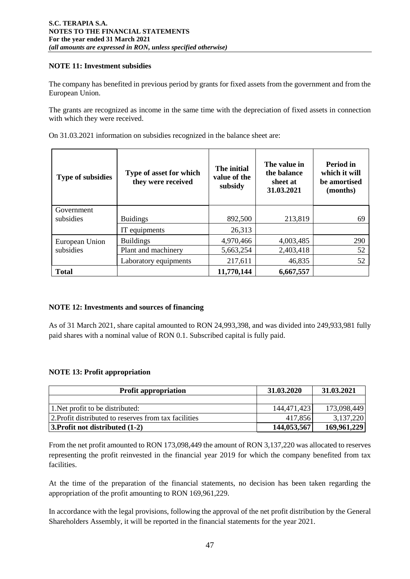# **NOTE 11: Investment subsidies**

The company has benefited in previous period by grants for fixed assets from the government and from the European Union.

The grants are recognized as income in the same time with the depreciation of fixed assets in connection with which they were received.

On 31.03.2021 information on subsidies recognized in the balance sheet are:

| <b>Type of subsidies</b> | Type of asset for which<br>they were received | The initial<br>value of the<br>subsidy | The value in<br>the balance<br>sheet at<br>31.03.2021 | <b>Period in</b><br>which it will<br>be amortised<br>(months) |
|--------------------------|-----------------------------------------------|----------------------------------------|-------------------------------------------------------|---------------------------------------------------------------|
| Government               |                                               |                                        |                                                       |                                                               |
| subsidies                | <b>Buidings</b>                               | 892,500                                | 213,819                                               | 69                                                            |
|                          | IT equipments                                 | 26,313                                 |                                                       |                                                               |
| European Union           | <b>Buildings</b>                              | 4,970,466                              | 4,003,485                                             | 290                                                           |
| subsidies                | Plant and machinery                           | 5,663,254                              | 2,403,418                                             | 52                                                            |
|                          | Laboratory equipments                         | 217,611                                | 46,835                                                | 52                                                            |
| <b>Total</b>             |                                               | 11,770,144                             | 6,667,557                                             |                                                               |

# **NOTE 12: Investments and sources of financing**

As of 31 March 2021, share capital amounted to RON 24,993,398, and was divided into 249,933,981 fully paid shares with a nominal value of RON 0.1. Subscribed capital is fully paid.

# **NOTE 13: Profit appropriation**

| <b>Profit appropriation</b>                           | 31.03.2020  | 31.03.2021  |
|-------------------------------------------------------|-------------|-------------|
|                                                       |             |             |
| 1. Net profit to be distributed:                      | 144,471,423 | 173,098,449 |
| 2. Profit distributed to reserves from tax facilities | 417,856     | 3,137,220   |
| $\vert$ 3. Profit not distributed $(1-2)$             | 144,053,567 | 169,961,229 |

From the net profit amounted to RON 173,098,449 the amount of RON 3,137,220 was allocated to reserves representing the profit reinvested in the financial year 2019 for which the company benefited from tax facilities.

At the time of the preparation of the financial statements, no decision has been taken regarding the appropriation of the profit amounting to RON 169,961,229.

In accordance with the legal provisions, following the approval of the net profit distribution by the General Shareholders Assembly, it will be reported in the financial statements for the year 2021.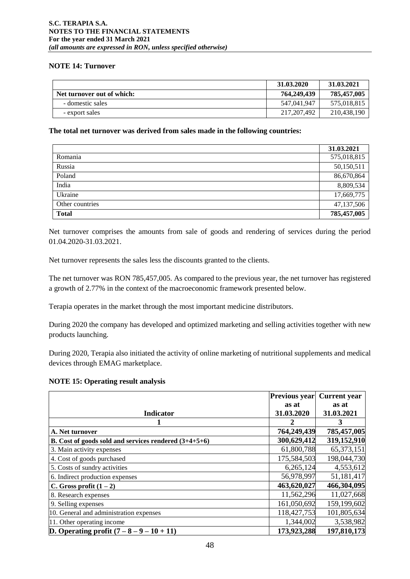#### **NOTE 14: Turnover**

|                            | 31.03.2020    | 31.03.2021  |
|----------------------------|---------------|-------------|
| Net turnover out of which: | 764,249,439   | 785,457,005 |
| - domestic sales           | 547.041.947   | 575,018,815 |
| - export sales             | 217, 207, 492 | 210,438,190 |

#### **The total net turnover was derived from sales made in the following countries:**

|                 | 31.03.2021  |
|-----------------|-------------|
| Romania         | 575,018,815 |
| Russia          | 50,150,511  |
| Poland          | 86,670,864  |
| India           | 8,809,534   |
| Ukraine         | 17,669,775  |
| Other countries | 47,137,506  |
| <b>Total</b>    | 785,457,005 |

Net turnover comprises the amounts from sale of goods and rendering of services during the period 01.04.2020-31.03.2021.

Net turnover represents the sales less the discounts granted to the clients.

The net turnover was RON 785,457,005. As compared to the previous year, the net turnover has registered a growth of 2.77% in the context of the macroeconomic framework presented below.

Terapia operates in the market through the most important medicine distributors.

During 2020 the company has developed and optimized marketing and selling activities together with new products launching.

During 2020, Terapia also initiated the activity of online marketing of nutritional supplements and medical devices through EMAG marketplace.

#### **NOTE 15: Operating result analysis**

|                                                         | <b>Previous year</b> | <b>Current</b> year |
|---------------------------------------------------------|----------------------|---------------------|
|                                                         | as at                | as at               |
| <b>Indicator</b>                                        | 31.03.2020           | 31.03.2021          |
|                                                         |                      | 3                   |
| A. Net turnover                                         | 764,249,439          | 785,457,005         |
| B. Cost of goods sold and services rendered $(3+4+5+6)$ | 300,629,412          | 319,152,910         |
| 3. Main activity expenses                               | 61,800,788           | 65,373,151          |
| 4. Cost of goods purchased                              | 175,584,503          | 198,044,730         |
| 5. Costs of sundry activities                           | 6,265,124            | 4,553,612           |
| 6. Indirect production expenses                         | 56,978,997           | 51,181,417          |
| C. Gross profit $(1 – 2)$                               | 463,620,027          | 466,304,095         |
| 8. Research expenses                                    | 11,562,296           | 11,027,668          |
| 9. Selling expenses                                     | 161,050,692          | 159,199,602         |
| 10. General and administration expenses                 | 118,427,753          | 101,805,634         |
| 11. Other operating income                              | 1,344,002            | 3,538,982           |
| D. Operating profit $(7 - 8 - 9 - 10 + 11)$             | 173,923,288          | 197,810,173         |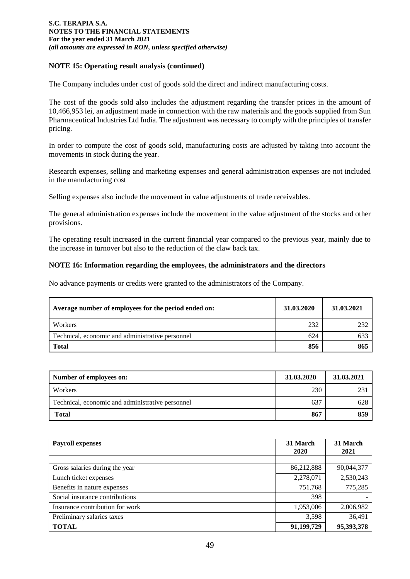# **NOTE 15: Operating result analysis (continued)**

The Company includes under cost of goods sold the direct and indirect manufacturing costs.

The cost of the goods sold also includes the adjustment regarding the transfer prices in the amount of 10,466,953 lei, an adjustment made in connection with the raw materials and the goods supplied from Sun Pharmaceutical Industries Ltd India. The adjustment was necessary to comply with the principles of transfer pricing.

In order to compute the cost of goods sold, manufacturing costs are adjusted by taking into account the movements in stock during the year.

Research expenses, selling and marketing expenses and general administration expenses are not included in the manufacturing cost

Selling expenses also include the movement in value adjustments of trade receivables.

The general administration expenses include the movement in the value adjustment of the stocks and other provisions.

The operating result increased in the current financial year compared to the previous year, mainly due to the increase in turnover but also to the reduction of the claw back tax.

#### **NOTE 16: Information regarding the employees, the administrators and the directors**

No advance payments or credits were granted to the administrators of the Company.

| Average number of employees for the period ended on: | 31.03.2020 | 31.03.2021 |
|------------------------------------------------------|------------|------------|
| Workers                                              | 232        | 232        |
| Technical, economic and administrative personnel     | 624        | 633        |
| <b>Total</b>                                         | 856        | 865        |

| Number of employees on:                          | 31.03.2020 | 31.03.2021 |
|--------------------------------------------------|------------|------------|
| Workers                                          | 230        | 231        |
| Technical, economic and administrative personnel | 637        | 628        |
| <b>Total</b>                                     | 867        | 859        |

| <b>Payroll expenses</b>         | 31 March   | 31 March   |
|---------------------------------|------------|------------|
|                                 | 2020       | 2021       |
|                                 |            |            |
| Gross salaries during the year  | 86,212,888 | 90,044,377 |
| Lunch ticket expenses           | 2,278,071  | 2,530,243  |
| Benefits in nature expenses     | 751,768    | 775,285    |
| Social insurance contributions  | 398        |            |
| Insurance contribution for work | 1,953,006  | 2,006,982  |
| Preliminary salaries taxes      | 3,598      | 36,491     |
| <b>TOTAL</b>                    | 91,199,729 | 95,393,378 |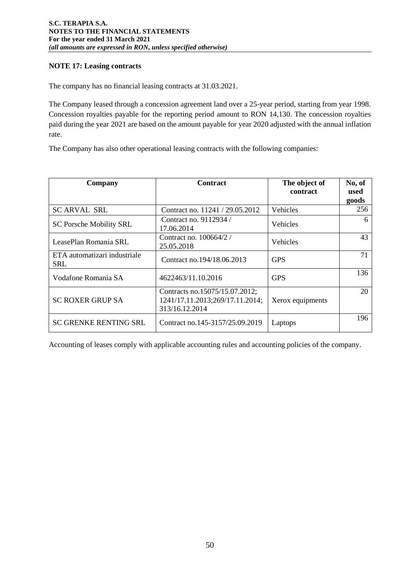# **NOTE 17: Leasing contracts**

The company has no financial leasing contracts at 31.03.2021.

The Company leased through a concession agreement land over a 25-year period, starting from year 1998. Concession royalties payable for the reporting period amount to RON 14,130. The concession royalties paid during the year 2021 are based on the amount payable for year 2020 adjusted with the annual inflation rate.

The Company has also other operational leasing contracts with the following companies:

| Company                                    | <b>Contract</b>                                                                     | The object of<br>contract | No, of<br>used<br>goods |
|--------------------------------------------|-------------------------------------------------------------------------------------|---------------------------|-------------------------|
| <b>SC ARVAL SRL</b>                        | Contract no. 11241 / 29.05.2012                                                     | Vehicles                  | 256                     |
| <b>SC Porsche Mobility SRL</b>             | Contract no. 9112934 /<br>17.06.2014                                                | <b>Vehicles</b>           | 6                       |
| LeasePlan Romania SRL                      | Contract no. 100664/2 /<br>25.05.2018                                               | Vehicles                  | 43                      |
| ETA automatizari industriale<br><b>SRL</b> | Contract no.194/18.06.2013                                                          | <b>GPS</b>                | 71                      |
| Vodafone Romania SA                        | 4622463/11.10.2016                                                                  | <b>GPS</b>                | 136                     |
| <b>SC ROXER GRUP SA</b>                    | Contracts no.15075/15.07.2012;<br>1241/17.11.2013;269/17.11.2014;<br>313/16.12.2014 | Xerox equipments          | 20                      |
| <b>SC GRENKE RENTING SRL</b>               | Contract no.145-3157/25.09.2019                                                     | Laptops                   | 196                     |

Accounting of leases comply with applicable accounting rules and accounting policies of the company.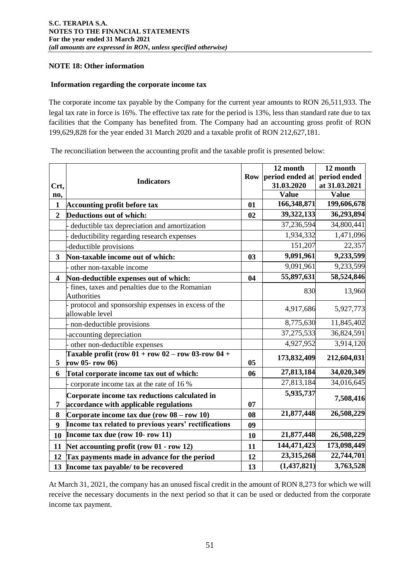# **NOTE 18: Other information**

#### **Information regarding the corporate income tax**

The corporate income tax payable by the Company for the current year amounts to RON 26,511,933. The legal tax rate in force is 16%. The effective tax rate for the period is 13%, less than standard rate due to tax facilities that the Company has benefited from. The Company had an accounting gross profit of RON 199,629,828 for the year ended 31 March 2020 and a taxable profit of RON 212,627,181.

The reconciliation between the accounting profit and the taxable profit is presented below:

|                         |                                                                                         |    | 12 month        | 12 month      |
|-------------------------|-----------------------------------------------------------------------------------------|----|-----------------|---------------|
|                         | <b>Indicators</b>                                                                       |    | period ended at | period ended  |
| Crt,                    |                                                                                         |    | 31.03.2020      | at 31.03.2021 |
| no,                     |                                                                                         |    | <b>Value</b>    | <b>Value</b>  |
| 1                       | <b>Accounting profit before tax</b>                                                     | 01 | 166,348,871     | 199,606,678   |
| $\overline{2}$          | Deductions out of which:                                                                | 02 | 39,322,133      | 36,293,894    |
|                         | deductible tax depreciation and amortization                                            |    | 37,236,594      | 34,800,441    |
|                         | deductibility regarding research expenses                                               |    | 1,934,332       | 1,471,096     |
|                         | deductible provisions                                                                   |    | 151,207         | 22,357        |
| $\overline{3}$          | Non-taxable income out of which:                                                        | 03 | 9,091,961       | 9,233,599     |
|                         | other non-taxable income                                                                |    | 9,091,961       | 9,233,599     |
| $\overline{\mathbf{4}}$ | Non-deductible expenses out of which:                                                   | 04 | 55,897,631      | 58,524,846    |
|                         | fines, taxes and penalties due to the Romanian<br>Authorities                           |    | 830             | 13,960        |
|                         | protocol and sponsorship expenses in excess of the<br>allowable level                   |    | 4,917,686       | 5,927,773     |
|                         | non-deductible provisions                                                               |    | 8,775,630       | 11,845,402    |
|                         | accounting depreciation                                                                 |    | 37,275,533      | 36,824,591    |
|                         | other non-deductible expenses                                                           |    | 4,927,952       | 3,914,120     |
| 5                       | Taxable profit (row $01 + row 02 - row 03-row 04 + $<br>row 05-row 06)                  | 05 | 173,832,409     | 212,604,031   |
| 6                       | Total corporate income tax out of which:                                                | 06 | 27,813,184      | 34,020,349    |
|                         | corporate income tax at the rate of 16 %                                                |    | 27,813,184      | 34,016,645    |
| 7                       | Corporate income tax reductions calculated in<br>accordance with applicable regulations | 07 | 5,935,737       | 7,508,416     |
| 8                       | Corporate income tax due (row $08 - row 10$ )                                           | 08 | 21,877,448      | 26,508,229    |
| 9                       | Income tax related to previous years' rectifications                                    | 09 |                 |               |
| 10                      | Income tax due (row 10- row 11)                                                         | 10 | 21,877,448      | 26,508,229    |
| 11                      | Net accounting profit (row 01 - row 12)                                                 | 11 | 144,471,423     | 173,098,449   |
| 12                      | Tax payments made in advance for the period                                             | 12 | 23,315,268      | 22,744,701    |
| 13                      | Income tax payable/ to be recovered                                                     | 13 | (1, 437, 821)   | 3,763,528     |

At March 31, 2021, the company has an unused fiscal credit in the amount of RON 8,273 for which we will receive the necessary documents in the next period so that it can be used or deducted from the corporate income tax payment.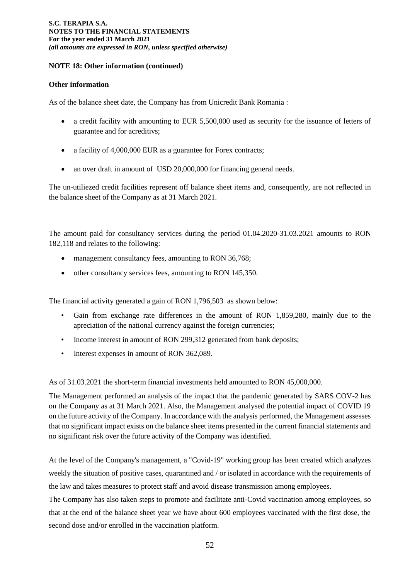#### **NOTE 18: Other information (continued)**

#### **Other information**

As of the balance sheet date, the Company has from Unicredit Bank Romania :

- a credit facility with amounting to EUR 5,500,000 used as security for the issuance of letters of guarantee and for acreditivs;
- a facility of 4,000,000 EUR as a guarantee for Forex contracts;
- an over draft in amount of USD 20,000,000 for financing general needs.

The un-utiliezed credit facilities represent off balance sheet items and, consequently, are not reflected in the balance sheet of the Company as at 31 March 2021.

The amount paid for consultancy services during the period 01.04.2020-31.03.2021 amounts to RON 182,118 and relates to the following:

- management consultancy fees, amounting to RON 36,768;
- other consultancy services fees, amounting to RON 145,350.

The financial activity generated a gain of RON 1,796,503 as shown below:

- Gain from exchange rate differences in the amount of RON 1,859,280, mainly due to the apreciation of the national currency against the foreign currencies;
- Income interest in amount of RON 299,312 generated from bank deposits;
- Interest expenses in amount of RON 362,089.

As of 31.03.2021 the short-term financial investments held amounted to RON 45,000,000.

The Management performed an analysis of the impact that the pandemic generated by SARS COV-2 has on the Company as at 31 March 2021. Also, the Management analysed the potential impact of COVID 19 on the future activity of the Company. In accordance with the analysis performed, the Management assesses that no significant impact exists on the balance sheet items presented in the current financial statements and no significant risk over the future activity of the Company was identified.

At the level of the Company's management, a "Covid-19" working group has been created which analyzes weekly the situation of positive cases, quarantined and / or isolated in accordance with the requirements of the law and takes measures to protect staff and avoid disease transmission among employees.

The Company has also taken steps to promote and facilitate anti-Covid vaccination among employees, so that at the end of the balance sheet year we have about 600 employees vaccinated with the first dose, the second dose and/or enrolled in the vaccination platform.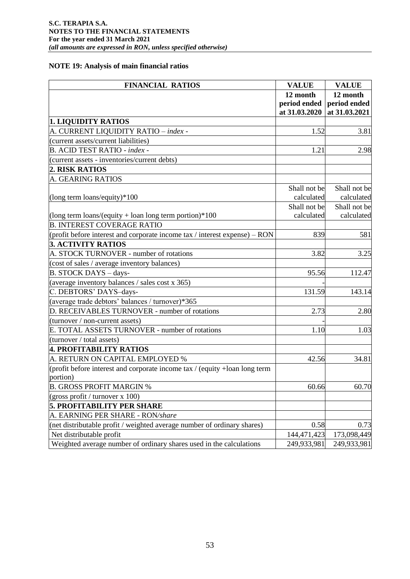#### **NOTE 19: Analysis of main financial ratios**

| <b>FINANCIAL RATIOS</b>                                                      | <b>VALUE</b>                              | <b>VALUE</b>                              |
|------------------------------------------------------------------------------|-------------------------------------------|-------------------------------------------|
|                                                                              | 12 month<br>period ended<br>at 31.03.2020 | 12 month<br>period ended<br>at 31.03.2021 |
| <b>1. LIQUIDITY RATIOS</b>                                                   |                                           |                                           |
| A. CURRENT LIQUIDITY RATIO - index -                                         | 1.52                                      | 3.81                                      |
| (current assets/current liabilities)                                         |                                           |                                           |
| B. ACID TEST RATIO - index -                                                 | 1.21                                      | 2.98                                      |
| (current assets - inventories/current debts)                                 |                                           |                                           |
| 2. RISK RATIOS                                                               |                                           |                                           |
| A. GEARING RATIOS                                                            |                                           |                                           |
| (long term loans/equity) $*100$                                              | Shall not be<br>calculated                | Shall not be<br>calculated                |
| (long term loans/(equity + loan long term portion) *100                      | Shall not be<br>calculated                | Shall not be<br>calculated                |
| <b>B. INTEREST COVERAGE RATIO</b>                                            |                                           |                                           |
| (profit before interest and corporate income tax / interest expense) $-$ RON | 839                                       | 581                                       |
| <b>3. ACTIVITY RATIOS</b>                                                    |                                           |                                           |
| A. STOCK TURNOVER - number of rotations                                      | 3.82                                      | 3.25                                      |
| (cost of sales / average inventory balances)                                 |                                           |                                           |
| B. STOCK DAYS - days-                                                        | 95.56                                     | 112.47                                    |
| (average inventory balances / sales cost x 365)                              |                                           |                                           |
| C. DEBTORS' DAYS-days-                                                       | 131.59                                    | 143.14                                    |
| (average trade debtors' balances / turnover)*365                             |                                           |                                           |
| D. RECEIVABLES TURNOVER - number of rotations                                | 2.73                                      | 2.80                                      |
| (turnover / non-current assets)                                              |                                           |                                           |
| E. TOTAL ASSETS TURNOVER - number of rotations                               | 1.10                                      | 1.03                                      |
| (turnover / total assets)                                                    |                                           |                                           |
| 4. PROFITABILITY RATIOS                                                      |                                           |                                           |
| A. RETURN ON CAPITAL EMPLOYED %                                              | 42.56                                     | 34.81                                     |
| (profit before interest and corporate income tax / (equity +loan long term)  |                                           |                                           |
| portion)                                                                     |                                           |                                           |
| <b>B. GROSS PROFIT MARGIN %</b>                                              | 60.66                                     | 60.70                                     |
| (gross profit / turnover $x$ 100)                                            |                                           |                                           |
| <b>5. PROFITABILITY PER SHARE</b>                                            |                                           |                                           |
| A. EARNING PER SHARE - RON/share                                             |                                           |                                           |
| (net distributable profit / weighted average number of ordinary shares)      | 0.58                                      | 0.73                                      |
| Net distributable profit                                                     | 144,471,423                               | 173,098,449                               |
| Weighted average number of ordinary shares used in the calculations          | 249,933,981                               | 249,933,981                               |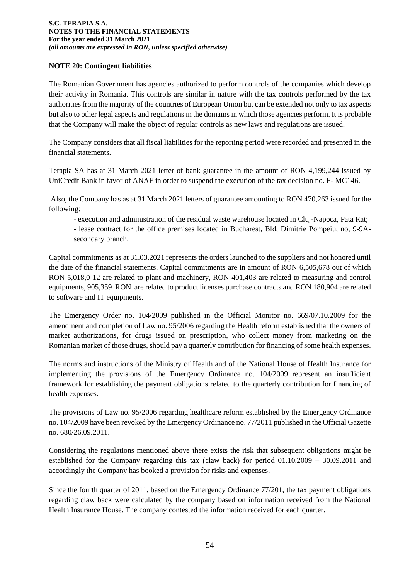# **NOTE 20: Contingent liabilities**

The Romanian Government has agencies authorized to perform controls of the companies which develop their activity in Romania. This controls are similar in nature with the tax controls performed by the tax authorities from the majority of the countries of European Union but can be extended not only to tax aspects but also to other legal aspects and regulations in the domains in which those agencies perform. It is probable that the Company will make the object of regular controls as new laws and regulations are issued.

The Company considers that all fiscal liabilities for the reporting period were recorded and presented in the financial statements.

Terapia SA has at 31 March 2021 letter of bank guarantee in the amount of RON 4,199,244 issued by UniCredit Bank in favor of ANAF in order to suspend the execution of the tax decision no. F- MC146.

Also, the Company has as at 31 March 2021 letters of guarantee amounting to RON 470,263 issued for the following:

- execution and administration of the residual waste warehouse located in Cluj-Napoca, Pata Rat;

- lease contract for the office premises located in Bucharest, Bld, Dimitrie Pompeiu, no, 9-9Asecondary branch.

Capital commitments as at 31.03.2021 represents the orders launched to the suppliers and not honored until the date of the financial statements. Capital commitments are in amount of RON 6,505,678 out of which RON 5,018,0 12 are related to plant and machinery, RON 401,403 are related to measuring and control equipments, 905,359 RON are related to product licenses purchase contracts and RON 180,904 are related to software and IT equipments.

The Emergency Order no. 104/2009 published in the Official Monitor no. 669/07.10.2009 for the amendment and completion of Law no. 95/2006 regarding the Health reform established that the owners of market authorizations, for drugs issued on prescription, who collect money from marketing on the Romanian market of those drugs, should pay a quarterly contribution for financing of some health expenses.

The norms and instructions of the Ministry of Health and of the National House of Health Insurance for implementing the provisions of the Emergency Ordinance no. 104/2009 represent an insufficient framework for establishing the payment obligations related to the quarterly contribution for financing of health expenses.

The provisions of Law no. 95/2006 regarding healthcare reform established by the Emergency Ordinance no. 104/2009 have been revoked by the Emergency Ordinance no. 77/2011 published in the Official Gazette no. 680/26.09.2011.

Considering the regulations mentioned above there exists the risk that subsequent obligations might be established for the Company regarding this tax (claw back) for period 01.10.2009 – 30.09.2011 and accordingly the Company has booked a provision for risks and expenses.

Since the fourth quarter of 2011, based on the Emergency Ordinance 77/201, the tax payment obligations regarding claw back were calculated by the company based on information received from the National Health Insurance House. The company contested the information received for each quarter.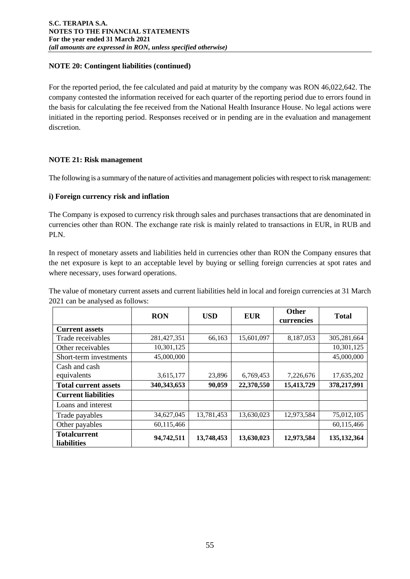### **NOTE 20: Contingent liabilities (continued)**

For the reported period, the fee calculated and paid at maturity by the company was RON 46,022,642. The company contested the information received for each quarter of the reporting period due to errors found in the basis for calculating the fee received from the National Health Insurance House. No legal actions were initiated in the reporting period. Responses received or in pending are in the evaluation and management discretion.

# **NOTE 21: Risk management**

The following is a summary of the nature of activities and management policies with respect to risk management:

#### **i) Foreign currency risk and inflation**

The Company is exposed to currency risk through sales and purchases transactions that are denominated in currencies other than RON. The exchange rate risk is mainly related to transactions in EUR, in RUB and PLN.

In respect of monetary assets and liabilities held in currencies other than RON the Company ensures that the net exposure is kept to an acceptable level by buying or selling foreign currencies at spot rates and where necessary, uses forward operations.

The value of monetary current assets and current liabilities held in local and foreign currencies at 31 March 2021 can be analysed as follows:

|                                           | <b>RON</b>    | <b>USD</b> | <b>EUR</b> | Other<br>currencies | <b>Total</b>  |
|-------------------------------------------|---------------|------------|------------|---------------------|---------------|
| <b>Current assets</b>                     |               |            |            |                     |               |
| Trade receivables                         | 281,427,351   | 66,163     | 15,601,097 | 8,187,053           | 305,281,664   |
| Other receivables                         | 10,301,125    |            |            |                     | 10,301,125    |
| Short-term investments                    | 45,000,000    |            |            |                     | 45,000,000    |
| Cash and cash                             |               |            |            |                     |               |
| equivalents                               | 3,615,177     | 23,896     | 6,769,453  | 7,226,676           | 17,635,202    |
| <b>Total current assets</b>               | 340, 343, 653 | 90,059     | 22,370,550 | 15,413,729          | 378,217,991   |
| <b>Current liabilities</b>                |               |            |            |                     |               |
| Loans and interest                        |               |            |            |                     |               |
| Trade payables                            | 34,627,045    | 13,781,453 | 13,630,023 | 12,973,584          | 75,012,105    |
| Other payables                            | 60,115,466    |            |            |                     | 60,115,466    |
| <b>Totalcurrent</b><br><b>liabilities</b> | 94,742,511    | 13,748,453 | 13,630,023 | 12,973,584          | 135, 132, 364 |